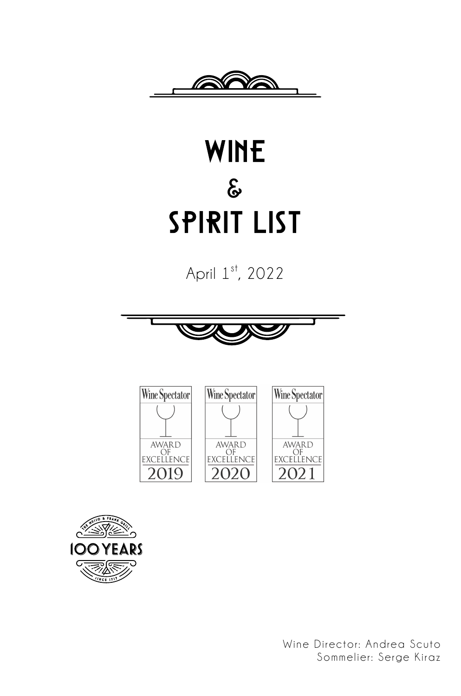

## WINE **&** Spirit List

April 1st, 2022





Wine Director: Andrea Scuto Sommelier: Serge Kiraz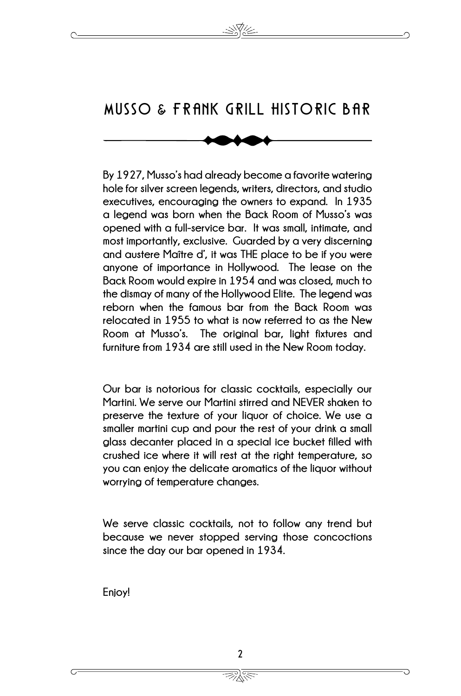## MUSSO **&** FRANK GRILL HISTORIC BAR

 $\overline{\phantom{a}}$  **hole for silver screen legends, writers, directors, and studio**  he<br>C **and austere Maître d', it was THE place to be if you were the dismay of many of the Hollywood Elite. The legend was**  s<br>ci<br>∍ن **By 1927, Musso's had already become a favorite watering executives, encouraging the owners to expand. In 1935 a legend was born when the Back Room of Musso's was opened with a full-service bar. It was small, intimate, and most importantly, exclusive. Guarded by a very discerning anyone of importance in Hollywood. The lease on the Back Room would expire in 1954 and was closed, much to reborn when the famous bar from the Back Room was relocated in 1955 to what is now referred to as the New Room at Musso's. The original bar, light fixtures and furniture from 1934 are still used in the New Room today.** 

 **Martini. We serve our Martini stirred and NEVER shaken to**  smaller martini cup and pour the rest of your drink a small<br>glass decanter placed in a special ice bucket filled with<br>arushed iee where it will rest at the right temperature.com **you can enjoy the delicate aromatics of the liquor without Our bar is notorious for classic cocktails, especially our preserve the texture of your liquor of choice. We use a smaller martini cup and pour the rest of your drink a small crushed ice where it will rest at the right temperature, so worrying of temperature changes.** 

 **We serve classic cocktails, not to follow any trend but since the day our bar opened in 1934. because we never stopped serving those concoctions** 

**Enjoy!**

秋く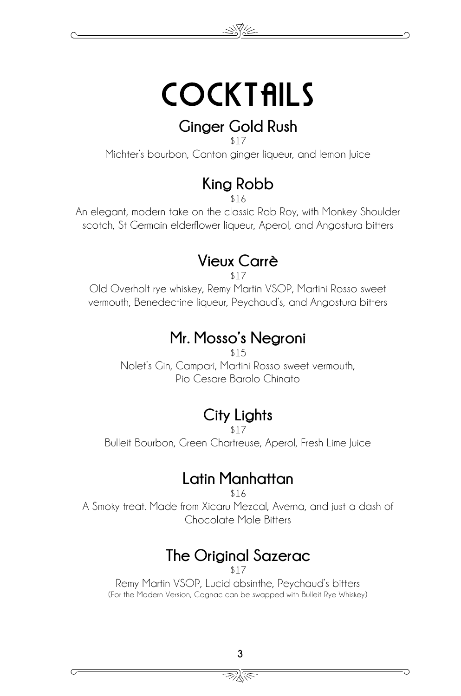

#### **Ginger Gold Rush**

\$17

Michter's bourbon, Canton ginger liqueur, and lemon Juice

### **King Robb**

\$16

An elegant, modern take on the classic Rob Roy, with Monkey Shoulder scotch, St Germain elderflower liqueur, Aperol, and Angostura bitters

#### **Vieux Carrè**

\$17

Old Overholt rye whiskey, Remy Martin VSOP, Martini Rosso sweet vermouth, Benedectine liqueur, Peychaud's, and Angostura bitters

#### **Mr. Mosso's Negroni**

\$15 Nolet's Gin, Campari, Martini Rosso sweet vermouth, Pio Cesare Barolo Chinato

### **City Lights**

\$17

Bulleit Bourbon, Green Chartreuse, Aperol, Fresh Lime Juice

#### **Latin Manhattan**

\$16

A Smoky treat. Made from Xicaru Mezcal, Averna, and just a dash of Chocolate Mole Bitters

### **The Original Sazerac**

\$17

Remy Martin VSOP, Lucid absinthe, Peychaud's bitters (For the Modern Version, Cognac can be swapped with Bulleit Rye Whiskey)

秋く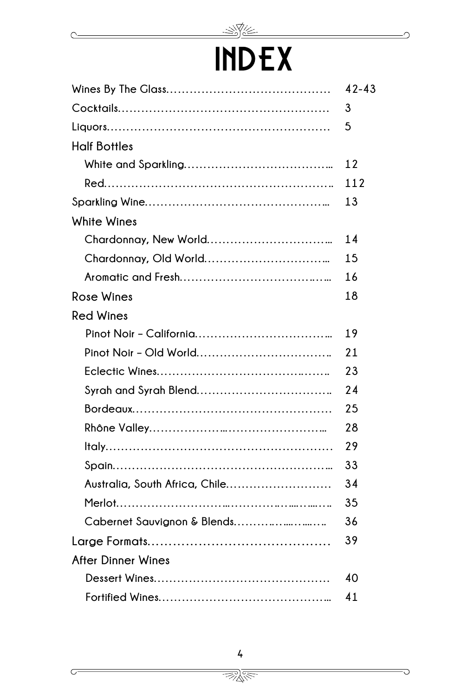

 $\subset$ 

 $\subset$ 

## INDEX

|                                | $42 - 43$ |
|--------------------------------|-----------|
|                                | 3         |
|                                | 5         |
| <b>Half Bottles</b>            |           |
|                                | 12        |
|                                | 112       |
|                                | 13        |
| White Wines                    |           |
|                                | 14        |
|                                | 15        |
|                                | 16        |
| <b>Rose Wines</b>              | 18        |
| <b>Red Wines</b>               |           |
|                                | 19        |
|                                | 21        |
|                                | 23        |
|                                | 24        |
|                                | 25        |
|                                | 28        |
|                                | 29        |
|                                | 33        |
| Australia, South Africa, Chile | 34        |
|                                | 35        |
| Cabernet Sauvignon & Blends    | 36        |
|                                | 39        |
| After Dinner Wines             |           |
|                                | 40        |
|                                | 41        |

<u> Best</u>

᠗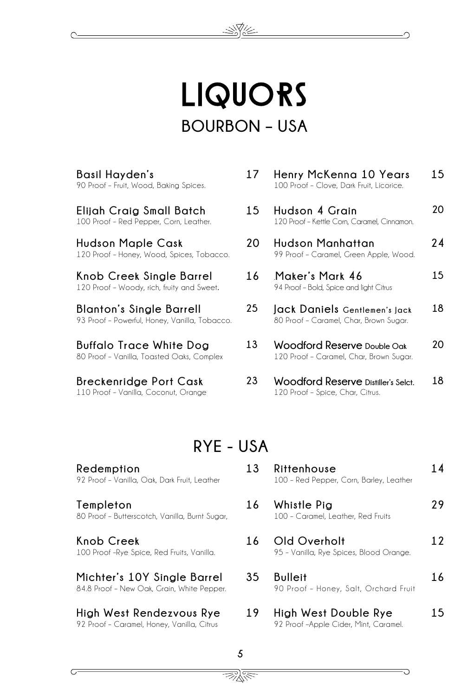## LIQUORS **BOURBON – USA**

**Basil Hayden's** 90 Proof – Fruit, Wood, Baking Spices.

**Elijah Craig Small Batch** 100 Proof – Red Pepper, Corn, Leather.

**Hudson Maple Cask** 120 Proof – Honey, Wood, Spices, Tobacco.

**Knob Creek Single Barrel** 120 Proof – Woody, rich, fruity and Sweet.

**Blanton's Single Barrell** 93 Proof – Powerful, Honey, Vanilla, Tobacco.

**Buffalo Trace White Dog** 80 Proof – Vanilla, Toasted Oaks, Complex

**Breckenridge Port Cask** 110 Proof – Vanilla, Coconut, Orange

92 Proof – Vanilla, Oak, Dark Fruit, Leather

80 Proof – Butterscotch, Vanilla, Burnt Sugar,

100 Proof –Rye Spice, Red Fruits, Vanilla.

**Michter's 10Y Single Barrel**

**Redemption**

**Templeton**

**Knob Creek** 

| 17 | Henry McKenna 10 Years<br>100 Proof - Clove, Dark Fruit, Licorice.                | 15 |
|----|-----------------------------------------------------------------------------------|----|
| 15 | Hudson 4 Grain<br>120 Proof - Kettle Corn, Caramel, Cinnamon,                     | 20 |
| 20 | Hudson Manhattan<br>99 Proof - Caramel, Green Apple, Wood.                        | 24 |
| 16 | Maker's Mark 46<br>94 Proof - Bold, Spice and light Citrus                        | 15 |
| 25 | Jack Daniels Gentlemen's Jack<br>80 Proof - Caramel, Char, Brown Sugar.           | 18 |
| 13 | Woodford Reserve <sub>Double</sub> Oak<br>120 Proof - Caramel, Char, Brown Sugar. |    |

**23 Woodford Reserve Distiller's Selct.** 120 Proof – Spice, Char, Citrus. **18**

#### **RYE - USA**

| 13 | Rittenhouse<br>100 - Red Pepper, Corn, Barley, Leather  | 14 |
|----|---------------------------------------------------------|----|
| 16 | Whistle Pig<br>100 - Caramel, Leather, Red Fruits       | 29 |
| 16 | Old Overholt<br>95 - Vanilla, Rye Spices, Blood Orange. | 12 |
| 35 | Bulleit<br>90 Proof - Honey, Salt, Orchard Fruit        | 16 |
| 19 | High West Double Rye                                    |    |

**19 High West Double Rye** 92 Proof –Apple Cider, Mint, Caramel.

### 84.8 Proof – New Oak, Grain, White Pepper.

**High West Rendezvous Rye** 92 Proof – Caramel, Honey, Vanilla, Citrus

> 5 秋冬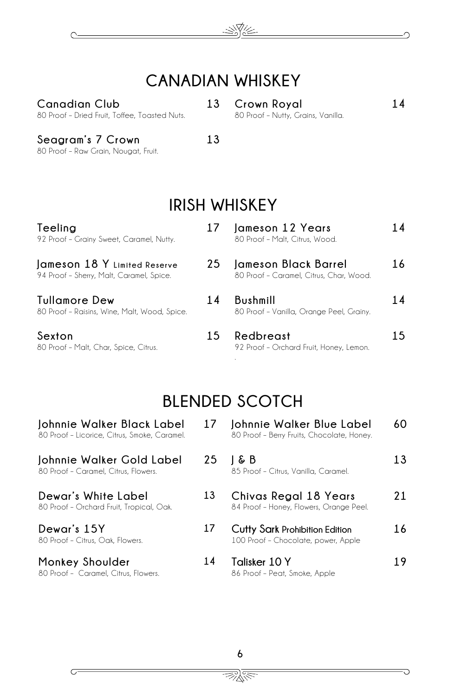

#### **CANADIAN WHISKEY**

**Canadian Club** 80 Proof – Dried Fruit, Toffee, Toasted Nuts. **13 Crown Royal** 80 Proof – Nutty, Grains, Vanilla. **14**

**Seagram's 7 Crown** 80 Proof – Raw Grain, Nougat, Fruit.

 $\subset$ 

 $\overline{C}$ 

**13**

### **IRISH WHISKEY**

| Teeling<br>92 Proof - Grainy Sweet, Caramel, Nutty.                      | 17 | Jameson 12 Years<br>80 Proof - Malt, Citrus, Wood.              | 14  |
|--------------------------------------------------------------------------|----|-----------------------------------------------------------------|-----|
| Jameson 18 Y Limited Reserve<br>94 Proof - Sherry, Malt, Caramel, Spice. | 25 | Jameson Black Barrel<br>80 Proof - Caramel, Citrus, Char, Wood. | 16  |
| Tullamore Dew<br>80 Proof - Raisins, Wine, Malt, Wood, Spice.            | 14 | Bushmill<br>80 Proof - Vanilla, Orange Peel, Grainy.            | 14  |
| Sexton<br>80 Proof - Malt, Char, Spice, Citrus.                          | 15 | Redbreast<br>92 Proof - Orchard Fruit, Honey, Lemon.            | 1.5 |

### **BLENDED SCOTCH**

| Johnnie Walker Black Label<br>80 Proof - Licorice, Citrus, Smoke, Caramel. | 17 | Johnnie Walker Blue Label<br>80 Proof - Berry Fruits, Chocolate, Honey.      | 60 |
|----------------------------------------------------------------------------|----|------------------------------------------------------------------------------|----|
| Johnnie Walker Gold Label<br>80 Proof - Caramel, Citrus, Flowers,          | 25 | 1 & B<br>85 Proof - Citrus, Vanilla, Caramel.                                | 13 |
| Dewar's White Label<br>80 Proof - Orchard Fruit, Tropical, Oak.            | 13 | Chivas Regal 18 Years<br>84 Proof - Honey, Flowers, Orange Peel.             | 21 |
| Dewar's 15Y<br>80 Proof - Citrus, Oak, Flowers.                            | 17 | <b>Cutty Sark Prohibition Edition</b><br>100 Proof - Chocolate, power, Apple | 16 |
| Monkey Shoulder<br>80 Proof - Caramel, Citrus, Flowers.                    | 14 | Talisker 10 Y<br>86 Proof - Peat, Smoke, Apple                               | 19 |

<u>We</u>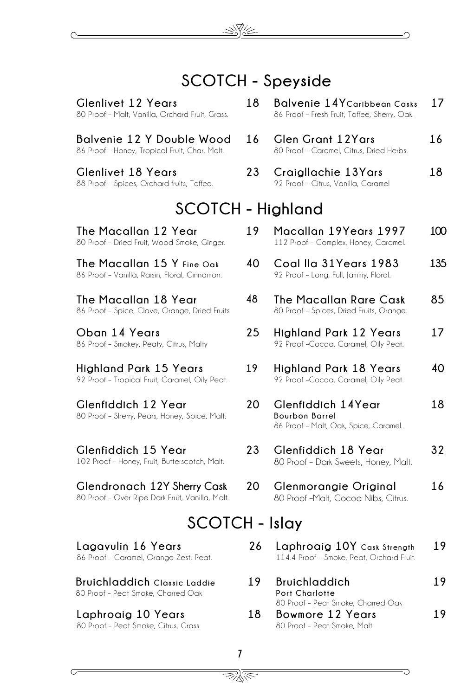#### **SCOTCH - Speyside**

**Glenlivet 12 Years** 80 Proof – Malt, Vanilla, Orchard Fruit, Grass.

**Balvenie 12 Y Double Wood** 86 Proof – Honey, Tropical Fruit, Char, Malt.

**Glenlivet 18 Years** 88 Proof – Spices, Orchard fruits, Toffee.

- **18 Balvenie 14YCaribbean Casks** 86 Proof – Fresh Fruit, Toffee, Sherry, Oak. **17**
- **16 Glen Grant 12Yars** 80 Proof – Caramel, Citrus, Dried Herbs. **16**
- **23 Craigllachie 13Yars** 92 Proof – Citrus, Vanilla, Caramel **18**

112 Proof – Complex, Honey, Caramel.

**40 Coal Ila 31Years 1983** 92 Proof – Long, Full, Jammy, Floral.

**48 The Macallan Rare Cask** 80 Proof – Spices, Dried Fruits, Orange.

**25 Highland Park 12 Years** 92 Proof –Cocoa, Caramel, Oily Peat. **100**

**135**

**85**

**17**

**16**

#### **SCOTCH - Highland**

**The Macallan 12 Year** 80 Proof – Dried Fruit, Wood Smoke, Ginger. **19 Macallan 19Years 1997**

**The Macallan 15 Y Fine Oak** 86 Proof – Vanilla, Raisin, Floral, Cinnamon.

**The Macallan 18 Year** 86 Proof – Spice, Clove, Orange, Dried Fruits

**Oban 14 Years** 86 Proof – Smokey, Peaty, Citrus, Malty

**Highland Park 15 Years** 92 Proof – Tropical Fruit, Caramel, Oily Peat.

**Glenfiddich 12 Year** 80 Proof – Sherry, Pears, Honey, Spice, Malt.

**Glenfiddich 15 Year**  102 Proof – Honey, Fruit, Butterscotch, Malt.

**Glendronach 12Y Sherry Cask** 80 Proof – Over Ripe Dark Fruit, Vanilla, Malt.

#### **SCOTCH - Islay**

**Lagavulin 16 Years** 86 Proof – Caramel, Orange Zest, Peat.

**Bruichladdich Classic Laddie** 80 Proof – Peat Smoke, Charred Oak

#### **Laphroaig 10 Years** 80 Proof – Peat Smoke, Citrus, Grass

- **19 Highland Park 18 Years** 92 Proof –Cocoa, Caramel, Oily Peat. **40 18**
- **20 Glenfiddich 14Year Bourbon Barrel** 86 Proof – Malt, Oak, Spice, Caramel.
- **23 Glenfiddich 18 Year** 80 Proof – Dark Sweets, Honey, Malt. **32**
- **20 Glenmorangie Original** 80 Proof –Malt, Cocoa Nibs, Citrus.
- **222 26 Laphroaig 10Y Cask Strength** 114.4 Proof – Smoke, Peat, Orchard Fruit. **19**
- **19 Bruichladdich Port Charlotte**  80 Proof – Peat Smoke, Charred Oak **19 18 Bowmore 12 Years 19**
	- 80 Proof Peat Smoke, Malt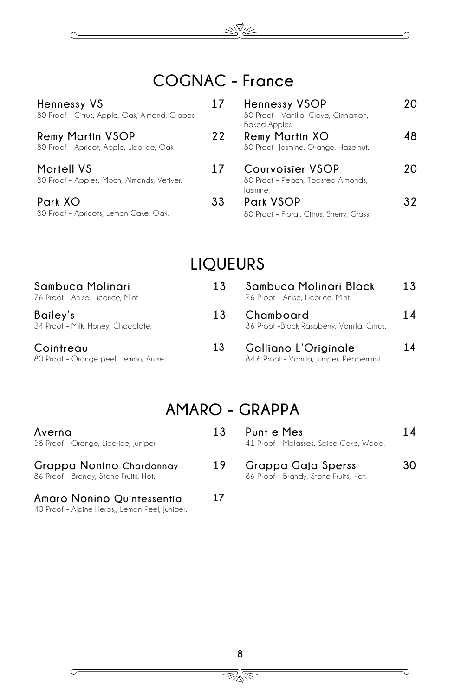

N.V.

| Hennessy VS<br>80 Proof - Citrus, Apple, Oak, Almond, Grapes        | 17 | <b>Hennessy VSOP</b><br>80 Proof - Vanilla, Clove, Cinnamon,<br><b>Baked Apples</b> | 20  |
|---------------------------------------------------------------------|----|-------------------------------------------------------------------------------------|-----|
| <b>Remy Martin VSOP</b><br>80 Proof - Apricot, Apple, Licorice, Oak | 22 | <b>Remy Martin XO</b><br>80 Proof-Jasmine, Orange, Hazelnut.                        | 48. |
| <b>Martell VS</b><br>80 Proof - Apples, Moch, Almonds, Vetiver.     | 17 | <b>Courvoisier VSOP</b><br>80 Proof - Peach, Toasted Almonds,<br>lasmine.           | 20. |
| Park XO<br>80 Proof - Apricots, Lemon Cake, Oak.                    | 33 | Park VSOP<br>80 Proof - Floral, Citrus, Sherry, Grass.                              | 32. |

#### **LIQUEURS**

| Sambuca Molinari<br>76 Proof - Anise, Licorice, Mint. | 13 | Sambuca Molinari Black<br>76 Proof - Anise, Licorice, Mint.        | 13 |
|-------------------------------------------------------|----|--------------------------------------------------------------------|----|
| Bailey's<br>34 Proof - Milk, Honey, Chocolate,        | 13 | Chamboard<br>36 Proof -Black Raspberry, Vanilla, Citrus.           | 14 |
| Cointreau<br>80 Proof - Orange peel, Lemon, Anise.    | 13 | Galliano L'Originale<br>84.6 Proof - Vanilla, Juniper, Peppermint. | 14 |

#### **AMARO - GRAPPA**

| Averna<br>58 Proof - Orange, Licorice, Juniper.                   | 13 | Punt e Mes<br>41 Proof - Molasses, Spice Cake, Wood.        | 14 |
|-------------------------------------------------------------------|----|-------------------------------------------------------------|----|
| Grappa Nonino Chardonnay<br>86 Proof - Brandy, Stone Fruits, Hot. | 19 | Grappa Gaja Sperss<br>86 Proof - Brandy, Stone Fruits, Hot. | 30 |
| Amaro Nonino Quintessentia                                        |    |                                                             |    |

40 Proof – Alpine Herbs,, Lemon Peel, Juniper.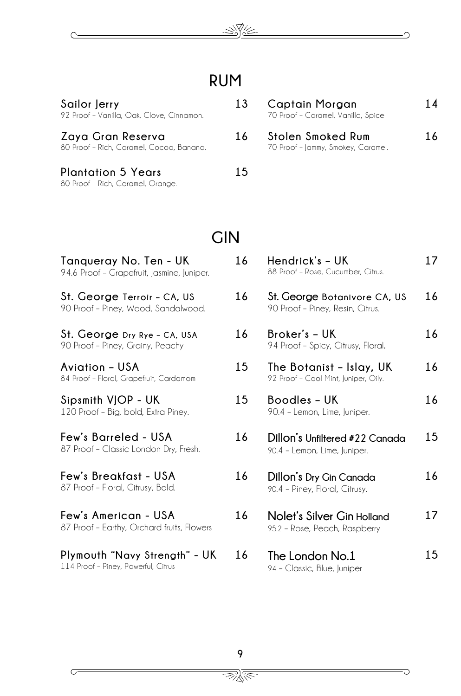

#### **RUM**

**Sailor Jerry**  92 Proof – Vanilla, Oak, Clove, Cinnamon.

 $\subset$ 

 $\subset$ 

**Zaya Gran Reserva** 80 Proof – Rich, Caramel, Cocoa, Banana.

| Plantation 5 Years                |  |
|-----------------------------------|--|
| 80 Proof - Rich, Caramel, Orange. |  |

#### **13 Captain Morgan**  70 Proof – Caramel, Vanilla, Spice **14**

**16 Stolen Smoked Rum**  70 Proof – Jammy, Smokey, Caramel. **16**

#### **GIN**

**15**

| Tanqueray No. Ten - UK<br>94.6 Proof - Grapefruit, Jasmine, Juniper. | 16 | Hendrick's - UK<br>88 Proof - Rose, Cucumber, Citrus.            | 17 |
|----------------------------------------------------------------------|----|------------------------------------------------------------------|----|
| St. George Terroir - CA, US<br>90 Proof - Piney, Wood, Sandalwood.   | 16 | St. George Botanivore CA, US<br>90 Proof - Piney, Resin, Citrus. | 16 |
| St. George Dry Rye - CA, USA<br>90 Proof - Piney, Grainy, Peachy     | 16 | Broker's - UK<br>94 Proof - Spicy, Citrusy, Floral.              | 16 |
| Aviation – USA<br>84 Proof - Floral, Grapefruit, Cardamom            | 15 | The Botanist - Islay, UK<br>92 Proof - Cool Mint, Juniper, Oily. | 16 |
| Sipsmith VJOP - UK<br>120 Proof - Big, bold, Extra Piney.            | 15 | Boodles - UK<br>90.4 - Lemon, Lime, Juniper.                     | 16 |
| Few's Barreled - USA<br>87 Proof - Classic London Dry, Fresh.        | 16 | Dillon's Unfiltered #22 Canada<br>90.4 - Lemon, Lime, Juniper.   | 15 |
| Few's Breakfast - USA<br>87 Proof - Floral, Citrusy, Bold.           | 16 | Dillon's Dry Gin Canada<br>90.4 - Piney, Floral, Citrusy.        | 16 |
| Few's American - USA<br>87 Proof - Earthy, Orchard fruits, Flowers   | 16 | Nolet's Silver Gin Holland<br>95.2 - Rose, Peach, Raspberry      | 17 |
| Plymouth "Navy Strength" - UK<br>114 Proof - Piney, Powerful, Citrus | 16 | The London No.1<br>94 - Classic, Blue, Juniper                   | 15 |

<u> BRA</u>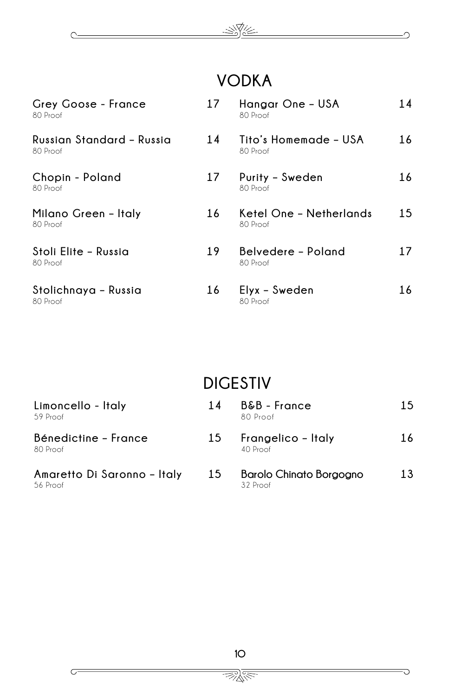#### 巡视

⌒

G

 $\subset$ 

 $\subset$ 

### **VODKA**

| Grey Goose - France<br>80 Proof       | 17 | Hangar One - USA<br>80 Proof        | 14  |
|---------------------------------------|----|-------------------------------------|-----|
| Russian Standard – Russia<br>80 Proof | 14 | Tito's Homemade - USA<br>80 Proof   | 16  |
| Chopin - Poland<br>80 Proof           | 17 | Purity - Sweden<br>80 Proof         | 16  |
| Milano Green – Italy<br>80 Proof      | 16 | Ketel One - Netherlands<br>80 Proof | 15. |
| Stoli Elite - Russia<br>80 Proof      | 19 | Belvedere - Poland<br>80 Proof      | 17  |
| Stolichnaya - Russia<br>80 Proof      | 16 | Elyx - Sweden<br>80 Proof           | 16  |

### **DIGESTIV**

| Limoncello - Italy<br>59 Proof          | 14 | B&B - France<br>80 Proof            | 1.5 |
|-----------------------------------------|----|-------------------------------------|-----|
| Bénedictine - France<br>80 Proof        | 15 | Frangelico – Italy<br>$40$ Proof    | 16  |
| Amaretto Di Saronno - Italy<br>56 Proof | 15 | Barolo Chinato Borgogno<br>32 Proof | 13  |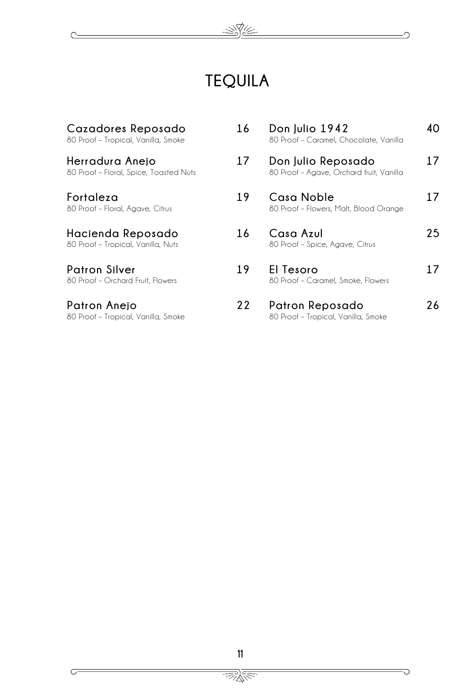

⌒

₹

 $\overline{C}$ 

 $\overline{C}$ 

### **TEQUILA**

| Cazadores Reposado<br>80 Proof - Tropical, Vanilla, Smoke | 16 | Don Julio 1942<br>80 Proof - Caramel, Chocolate, Vanilla       | 40 |
|-----------------------------------------------------------|----|----------------------------------------------------------------|----|
| Herradura Anejo<br>80 Proof - Floral, Spice, Toasted Nuts | 17 | Don Julio Reposado<br>80 Proof - Agave, Orchard fruit, Vanilla | 17 |
| Fortaleza<br>80 Proof - Floral, Agave, Citrus             | 19 | Casa Noble<br>80 Proof - Flowers, Malt, Blood Orange           | 17 |
| Hacienda Reposado<br>80 Proof - Tropical, Vanilla, Nuts   | 16 | Casa Azul<br>80 Proof - Spice, Agave, Citrus                   | 25 |
| Patron Silver<br>80 Proof - Orchard Fruit, Flowers        | 19 | El Tesoro<br>80 Proof - Caramel, Smoke, Flowers                | 17 |
| Patron Anejo<br>80 Proof - Tropical, Vanilla, Smoke       | 22 | Patron Reposado<br>80 Proof - Tropical, Vanilla, Smoke         | 26 |

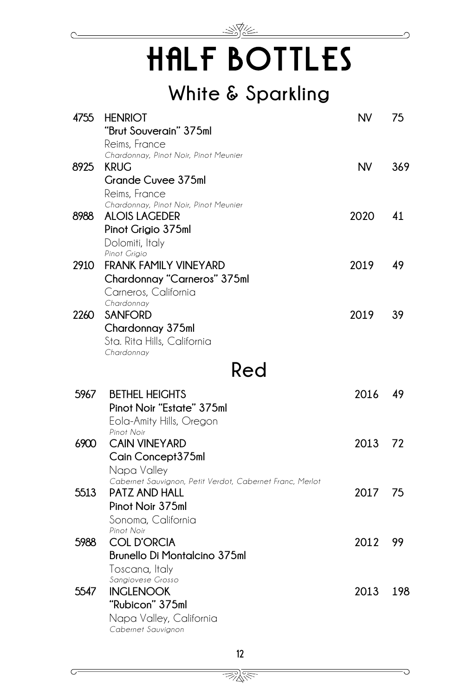

## HALF BOTTLES

### **White & Sparkling**

| 4755 | <b>HENRIOT</b>                                                          | <b>NV</b> | 75  |
|------|-------------------------------------------------------------------------|-----------|-----|
|      | "Brut Souverain" 375ml<br>Reims, France                                 |           |     |
|      | Chardonnay, Pinot Noir, Pinot Meunier                                   |           |     |
| 8925 | <b>KRUG</b>                                                             | <b>NV</b> | 369 |
|      | <b>Grande Cuvee 375ml</b>                                               |           |     |
|      | Reims, France<br>Chardonnay, Pinot Noir, Pinot Meunier                  |           |     |
| 8988 | <b>ALOIS LAGEDER</b>                                                    | 2020      | 41  |
|      | Pinot Grigio 375ml                                                      |           |     |
|      | Dolomiti, Italy                                                         |           |     |
|      | Pinot Grigio                                                            |           |     |
| 2910 | <b>FRANK FAMILY VINEYARD</b>                                            | 2019      | 49  |
|      | Chardonnay "Carneros" 375ml                                             |           |     |
|      | Carneros, California                                                    |           |     |
| 2260 | Chardonnay<br><b>SANFORD</b>                                            | 2019      | 39  |
|      | Chardonnay 375ml                                                        |           |     |
|      | Sta. Rita Hills, California                                             |           |     |
|      | Chardonnay                                                              |           |     |
|      | Red                                                                     |           |     |
| 5967 | <b>BETHEL HEIGHTS</b>                                                   | 2016      | 49  |
|      | Pinot Noir "Estate" 375ml                                               |           |     |
|      | Eola-Amity Hills, Oregon                                                |           |     |
|      | Pinot Noir                                                              |           |     |
| 6900 | <b>CAIN VINEYARD</b>                                                    | 2013      | 72  |
|      | Cain Concept375ml                                                       |           |     |
|      | Napa Valley<br>Cabernet Sauvignon, Petit Verdot, Cabernet Franc, Merlot |           |     |
| 5513 | <b>PATZ AND HALL</b>                                                    | 2017      | 75  |
|      | Pinot Noir 375ml                                                        |           |     |
|      | Sonoma, California                                                      |           |     |
|      | Pinot Noir                                                              |           |     |
| 5988 | <b>COL D'ORCIA</b>                                                      | 2012      | 99  |
|      | <b>Brunello Di Montalcino 375ml</b>                                     |           |     |
|      | Toscana, Italy                                                          |           |     |
| 5547 | Sangiovese Grosso<br><b>INGLENOOK</b>                                   | 2013      | 198 |
|      | "Rubicon" 375ml                                                         |           |     |
|      | Napa Valley, California                                                 |           |     |
|      | Cabernet Sauvignon                                                      |           |     |

<u> BRA</u>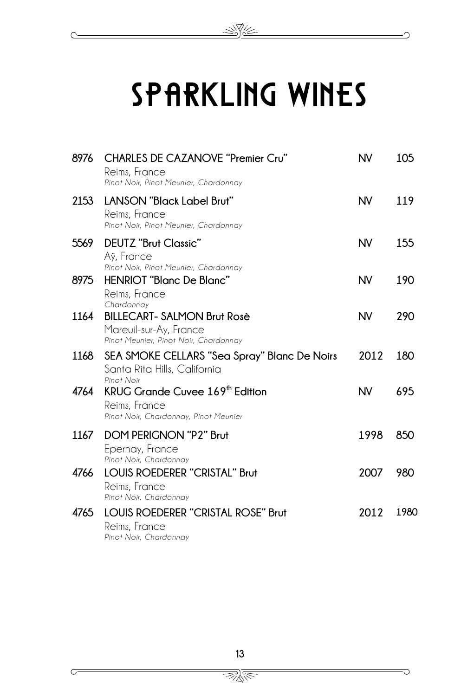## Sparkling Wines

 $\mathbb{R}$ 

C

 $\subset$ 

| 8976 | <b>CHARLES DE CAZANOVE "Premier Cru"</b><br>Reims, France<br>Pinot Noir, Pinot Meunier, Chardonnay    | <b>NV</b> | 105  |
|------|-------------------------------------------------------------------------------------------------------|-----------|------|
| 2153 | LANSON "Black Label Brut"<br>Reims, France<br>Pinot Noir, Pinot Meunier, Chardonnay                   | <b>NV</b> | 119  |
| 5569 | DEUTZ "Brut Classic"<br>Aÿ, France<br>Pinot Noir, Pinot Meunier, Chardonnay                           | <b>NV</b> | 155  |
| 8975 | HENRIOT "Blanc De Blanc"<br>Reims, France<br>Chardonnay                                               | <b>NV</b> | 190  |
| 1164 | <b>BILLECART- SALMON Brut Rosè</b><br>Mareuil-sur-Ay, France<br>Pinot Meunier, Pinot Noir, Chardonnay | <b>NV</b> | 290  |
| 1168 | SEA SMOKE CELLARS "Sea Spray" Blanc De Noirs<br>Santa Rita Hills, California<br>Pinot Noir            | 2012      | 180  |
| 4764 | KRUG Grande Cuvee 169 <sup>th</sup> Edition<br>Reims, France<br>Pinot Noir, Chardonnay, Pinot Meunier | <b>NV</b> | 695  |
| 1167 | <b>DOM PERIGNON "P2" Brut</b><br>Epernay, France<br>Pinot Noir, Chardonnay                            | 1998      | 850  |
| 4766 | <b>LOUIS ROEDERER "CRISTAL" Brut</b><br>Reims, France<br>Pinot Noir, Chardonnay                       | 2007      | 980  |
| 4765 | LOUIS ROEDERER "CRISTAL ROSE" Brut<br>Reims, France<br>Pinot Noir, Chardonnay                         | 2012      | 1980 |

<u> BRA</u>

D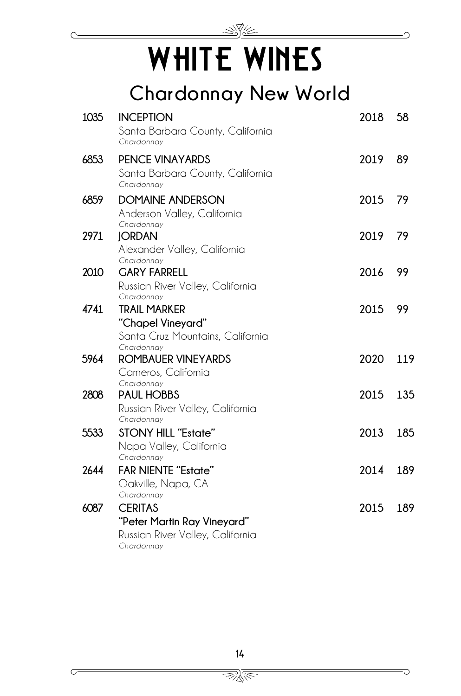

## WHITE WINES

## **Chardonnay New World**

| 1035 | <b>INCEPTION</b><br>Santa Barbara County, California<br>Chardonnay                              | 2018    | 58  |
|------|-------------------------------------------------------------------------------------------------|---------|-----|
| 6853 | <b>PENCE VINAYARDS</b><br>Santa Barbara County, California<br>Chardonnay                        | 2019    | 89  |
| 6859 | <b>DOMAINE ANDERSON</b><br>Anderson Valley, California<br>Chardonnay                            | 2015 79 |     |
| 2971 | <b>JORDAN</b><br>Alexander Valley, California<br>Chardonnay                                     | 2019    | 79  |
| 2010 | <b>GARY FARRELL</b><br>Russian River Valley, California<br>Chardonnay                           | 2016    | 99  |
| 4741 | <b>TRAIL MARKER</b><br>"Chapel Vineyard"<br>Santa Cruz Mountains, California<br>Chardonnav      | 2015    | 99  |
| 5964 | ROMBAUER VINEYARDS<br>Carneros, California                                                      | 2020    | 119 |
| 2808 | Chardonnay<br><b>PAUL HOBBS</b><br>Russian River Valley, California<br>Chardonnay               | 2015    | 135 |
| 5533 | <b>STONY HILL "Estate"</b><br>Napa Valley, California<br>Chardonnay                             | 2013    | 185 |
| 2644 | <b>FAR NIENTE "Estate"</b><br>Oakville, Napa, CA<br>Chardonnay                                  | 2014    | 189 |
| 6087 | <b>CERITAS</b><br>"Peter Martin Ray Vineyard"<br>Russian River Valley, California<br>Chardonnay | 2015    | 189 |

<u>INE</u>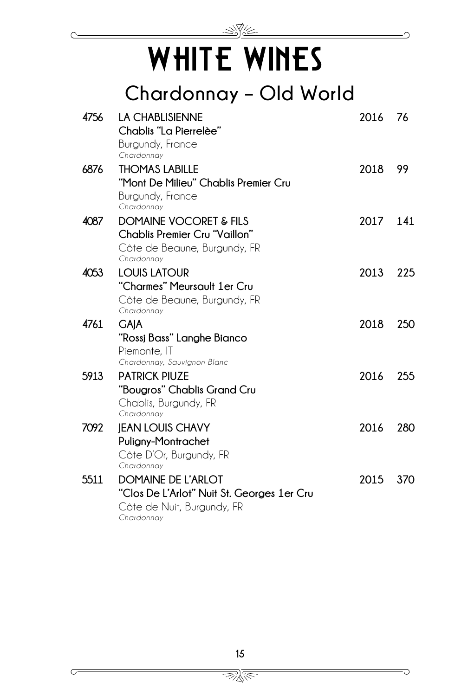

## WHITE WINES

**Chardonnay – Old World**

| 4756 | <b>LA CHABLISIENNE</b>                     | 2016     | 76  |
|------|--------------------------------------------|----------|-----|
|      | Chablis "La Pierrelèe"                     |          |     |
|      | Burgundy, France                           |          |     |
|      | Chardonnay                                 |          |     |
| 6876 | <b>THOMAS LABILLE</b>                      | 2018     | 99  |
|      | "Mont De Milieu" Chablis Premier Cru       |          |     |
|      | Burgundy, France                           |          |     |
|      | Chardonnay                                 |          |     |
| 4087 | <b>DOMAINE VOCORET &amp; FILS</b>          | 2017 141 |     |
|      | <b>Chablis Premier Cru "Vaillon"</b>       |          |     |
|      | Côte de Beaune, Burgundy, FR               |          |     |
|      | Chardonnay                                 |          |     |
| 4053 | <b>LOUIS LATOUR</b>                        | 2013     | 225 |
|      | "Charmes" Meursault 1er Cru                |          |     |
|      | Côte de Beaune, Burgundy, FR               |          |     |
|      | Chardonnay                                 |          |     |
| 4761 | <b>GAIA</b>                                | 2018     | 250 |
|      | "Rossj Bass" Langhe Bianco                 |          |     |
|      | Piemonte, IT                               |          |     |
|      | Chardonnay, Sauvignon Blanc                |          |     |
| 5913 | <b>PATRICK PIUZE</b>                       | 2016     | 255 |
|      | "Bougros" Chablis Grand Cru                |          |     |
|      | Chablis, Burgundy, FR                      |          |     |
|      | Chardonnay                                 |          |     |
| 7092 | <b>JEAN LOUIS CHAVY</b>                    | 2016     | 280 |
|      | Puligny-Montrachet                         |          |     |
|      | Côte D'Or, Burgundy, FR                    |          |     |
|      | Chardonnay                                 |          |     |
| 5511 | DOMAINE DE L'ARLOT                         | 2015     | 370 |
|      | "Clos De L'Arlot" Nuit St. Georges 1er Cru |          |     |
|      | Côte de Nuit, Burgundy, FR                 |          |     |
|      | Chardonnay                                 |          |     |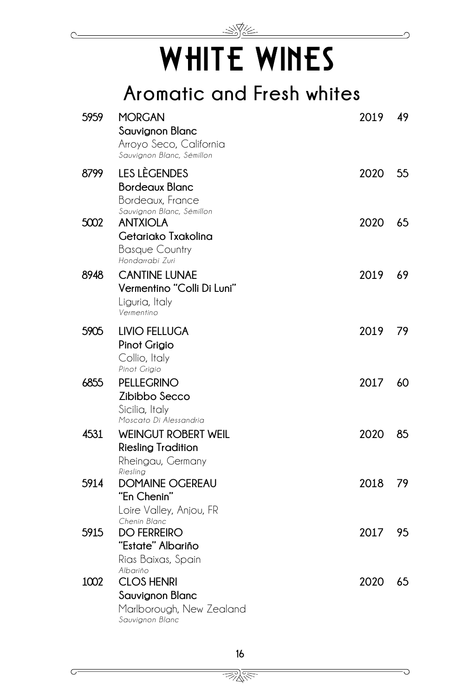## WHITE WINES

 $\mathbb{R}$ 

## **Aromatic and Fresh whites**

| 5959 | <b>MORGAN</b><br>Sauvignon Blanc<br>Arroyo Seco, California<br>Sauvignon Blanc, Sémillon        | 2019 | 49 |
|------|-------------------------------------------------------------------------------------------------|------|----|
| 8799 | LES LÈGENDES<br><b>Bordeaux Blanc</b><br>Bordeaux, France<br>Sauvignon Blanc, Sémillon          | 2020 | 55 |
| 5002 | <b>ANTXIOLA</b><br>Getariako Txakolina<br><b>Basque Country</b><br>Hondarrabi Zuri              | 2020 | 65 |
| 8948 | <b>CANTINE LUNAE</b><br>Vermentino "Colli Di Luni"<br>Liguria, Italy<br>Vermentino              | 2019 | 69 |
| 5905 | <b>LIVIO FELLUGA</b><br>Pinot Grigio<br>Collio, Italy<br>Pinot Grigio                           | 2019 | 79 |
| 6855 | <b>PELLEGRINO</b><br>Zibibbo Secco<br>Sicilia, Italy<br>Moscato Di Alessandria                  | 2017 | 60 |
| 4531 | <b>WEINGUT ROBERT WEIL</b><br><b>Riesling Tradition</b><br>Rheingau, Germany<br>Riesling        | 2020 | 85 |
| 5914 | <b>DOMAINE OGEREAU</b><br>"En Chenin"<br>Loire Valley, Anjou, FR<br>Chenin Blanc                | 2018 | 79 |
| 5915 | <b>DO FERREIRO</b><br>"Estate" Albariño<br>Rias Baixas, Spain                                   | 2017 | 95 |
| 1002 | Albariño<br><b>CLOS HENRI</b><br>Sauvignon Blanc<br>Marlborough, New Zealand<br>Sauvignon Blanc | 2020 | 65 |

16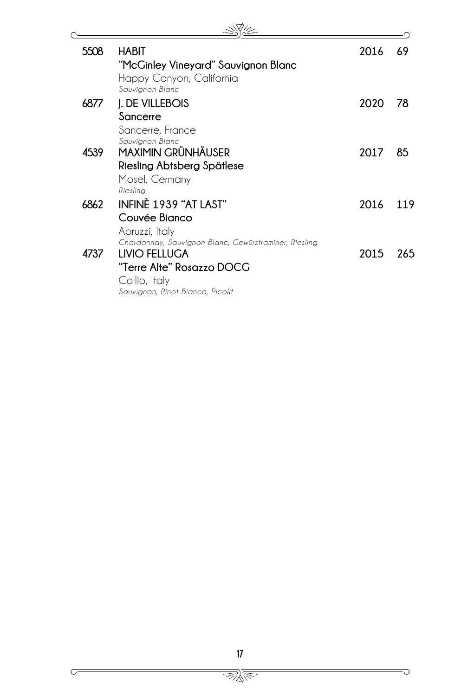| 5508 | HABIT                                                 | 2016 | 69  |
|------|-------------------------------------------------------|------|-----|
|      | "McGinley Vineyard" Sauvignon Blanc                   |      |     |
|      | Happy Canyon, California                              |      |     |
|      | Sauvianon Blanc                                       |      |     |
| 6877 | J. DE VILLEBOIS                                       | 2020 | 78  |
|      | Sancerre                                              |      |     |
|      | Sancerre, France                                      |      |     |
|      | Sauvianon Blanc                                       |      |     |
| 4539 | MAXIMIN GRÜNHÄUSER                                    | 2017 | 85  |
|      | Riesling Abtsberg Spätlese                            |      |     |
|      | Mosel, Germany                                        |      |     |
|      | Rieslina                                              |      |     |
| 6862 | INFINE 1939 "AT LAST"                                 | 2016 | 119 |
|      | Couvée Bianco                                         |      |     |
|      | Abruzzi, Italy                                        |      |     |
|      | Chardonnay, Sauvignon Blanc, Gewürztraminer, Riesling |      |     |
| 4737 | <b>LIVIO FELLUGA</b>                                  | 2015 | 265 |
|      | "Terre Alte" Rosazzo DOCG                             |      |     |
|      | Collio, Italy                                         |      |     |
|      | Sauvignon, Pinot Bianco, Picolit                      |      |     |

 $\overline{\smash{\bigcirc}}$ 

 $\overline{C}$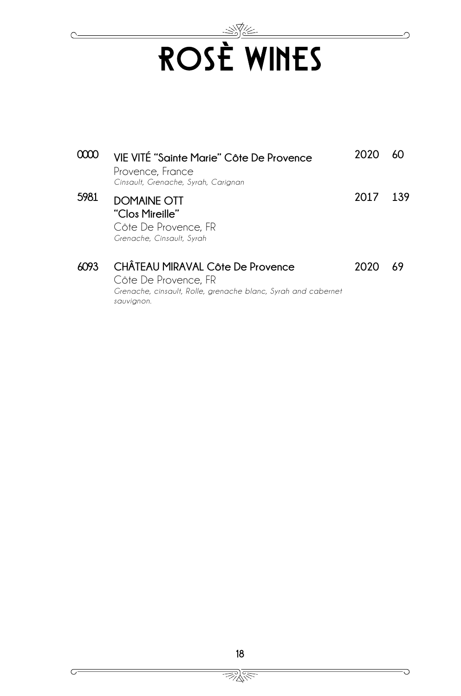# ROSÈ WINES

◠

G

|      | VIE VITÉ "Sainte Marie" Côte De Provence<br>Provence, France<br>Cinsault, Grenache, Syrah, Carignan                                     | 2020 |     |
|------|-----------------------------------------------------------------------------------------------------------------------------------------|------|-----|
| 5981 | <b>DOMAINE OTT</b><br>"Clos Mireille"<br>Côte De Provence, FR<br>Grenache, Cinsault, Syrah                                              | 2017 | 139 |
| ሐ093 | CHÂTEAU MIRAVAL Côte De Provence<br>Côte De Provence, FR<br>Grenache, cinsault, Rolle, grenache blanc, Syrah and cabernet<br>sauvignon. | 2020 | 69  |

 $\subset$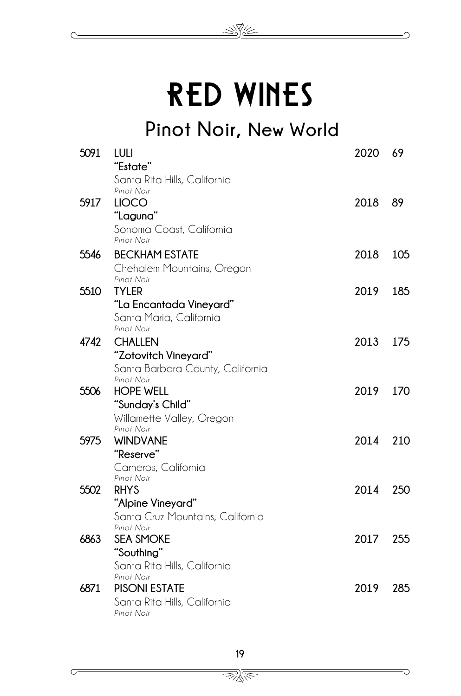## RED WINES

 $\mathbb{R}$ 

**Pinot Noir, New World**

| 5091 | LULI<br>"Estate"                           | 2020     | 69  |
|------|--------------------------------------------|----------|-----|
|      | Santa Rita Hills, California               |          |     |
|      | Pinot Noir                                 |          |     |
| 5917 | <b>LIOCO</b>                               | 2018 89  |     |
|      | "Laguna"                                   |          |     |
|      | Sonoma Coast, California<br>Pinot Noir     |          |     |
| 5546 | <b>BECKHAM ESTATE</b>                      | 2018     | 105 |
|      | Chehalem Mountains, Oregon                 |          |     |
|      | Pinot Noir                                 |          |     |
| 5510 | <b>TYLER</b>                               | 2019     | 185 |
|      | "La Encantada Vineyard"                    |          |     |
|      | Santa Maria, California                    |          |     |
|      | Pinot Noir                                 |          |     |
| 4742 | <b>CHALLEN</b>                             | 2013 175 |     |
|      | "Zotovitch Vineyard"                       |          |     |
|      | Santa Barbara County, California           |          |     |
|      | Pinot Noir                                 |          |     |
| 5506 | <b>HOPE WELL</b>                           | 2019     | 170 |
|      | "Sunday's Child"                           |          |     |
|      | Willamette Valley, Oregon                  |          |     |
|      | Pinot Noir                                 |          |     |
| 5975 | <b>WINDVANE</b>                            | 2014 210 |     |
|      | "Reserve"                                  |          |     |
|      | Carneros, California                       |          |     |
|      | Pinot Noir                                 |          |     |
| 5502 | <b>RHYS</b>                                | 2014     | 250 |
|      | "Alpine Vineyard"                          |          |     |
|      | Santa Cruz Mountains, California           |          |     |
|      | Pinot Noir                                 |          |     |
| 6863 | <b>SEA SMOKE</b>                           | 2017 255 |     |
|      | "Southing"                                 |          |     |
|      | Santa Rita Hills, California               |          |     |
| 6871 | Pinot Noir                                 |          |     |
|      | <b>PISONI ESTATE</b>                       | 2019     | 285 |
|      | Santa Rita Hills, California<br>Pinot Noir |          |     |
|      |                                            |          |     |

<u> BRA</u>

 $\subset$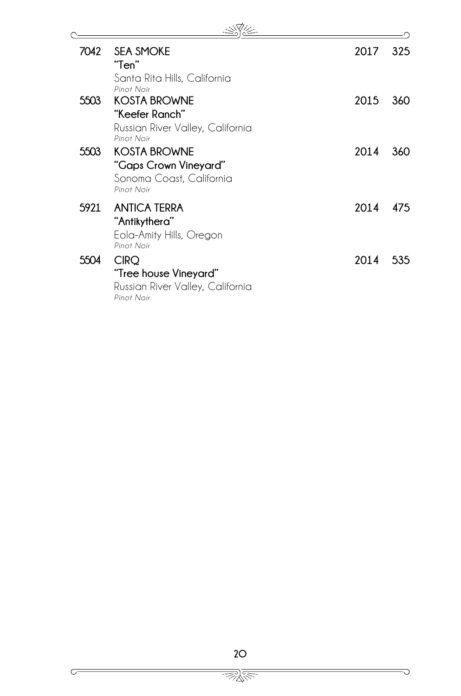| 7042 | <b>SEA SMOKE</b><br>"Ten"                                                              | 2017 | 325 |
|------|----------------------------------------------------------------------------------------|------|-----|
| 5503 | Santa Rita Hills, California<br>Pinot Noir<br><b>KOSTA BROWNE</b>                      | 2015 | 360 |
|      | "Keefer Ranch"<br>Russian River Valley, California<br>Pinot Noir                       |      |     |
| 5503 | <b>KOSTA BROWNE</b><br>"Gaps Crown Vineyard"<br>Sonoma Coast, California<br>Pinot Noir | 2014 | 360 |
| 5921 | <b>ANTICA TERRA</b><br>"Antikythera"<br>Eola-Amity Hills, Oregon<br>Pinot Noir         | 2014 | 475 |
| 5504 | <b>CIRQ</b><br>"Tree house Vineyard"<br>Russian River Valley, California<br>Pinot Noir | 2014 | 535 |

 $\overline{\smash{C}}$ 

 $\overline{C}$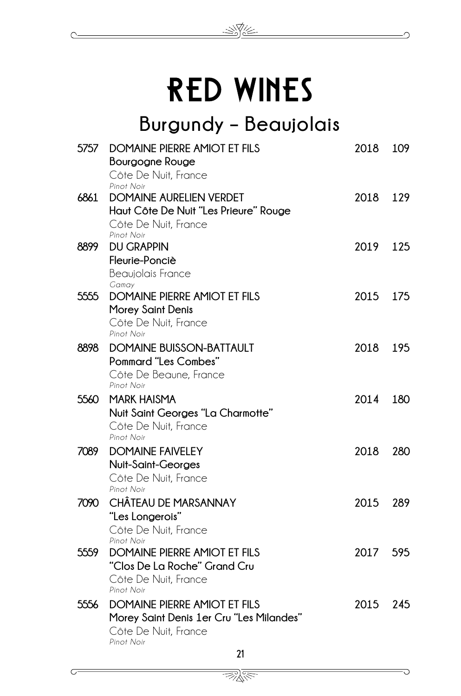## RED WINES

 $\gg \hbox{V}$ 

## **Burgundy – Beaujolais**

| 5757 | <b>DOMAINE PIERRE AMIOT ET FILS</b><br>Bourgogne Rouge                      | 2018     | 109 |
|------|-----------------------------------------------------------------------------|----------|-----|
|      | Côte De Nuit, France                                                        |          |     |
| 6861 | Pinot Noir<br><b>DOMAINE AURELIEN VERDET</b>                                | 2018     | 129 |
|      | Haut Côte De Nuit "Les Prieure" Rouge<br>Côte De Nuit, France<br>Pinot Noir |          |     |
| 8899 | <b>DU GRAPPIN</b>                                                           | 2019     | 125 |
|      | Fleurie-Ponciè                                                              |          |     |
|      | Beaujolais France                                                           |          |     |
|      | Gamay                                                                       |          |     |
| 5555 | <b>DOMAINE PIERRE AMIOT ET FILS</b>                                         | 2015     | 175 |
|      | <b>Morey Saint Denis</b>                                                    |          |     |
|      | Côte De Nuit, France<br>Pinot Noir                                          |          |     |
| 8898 | <b>DOMAINE BUISSON-BATTAULT</b>                                             | 2018     | 195 |
|      | <b>Pommard "Les Combes"</b>                                                 |          |     |
|      | Côte De Beaune, France                                                      |          |     |
|      | Pinot Noir                                                                  |          |     |
| 5560 | <b>MARK HAISMA</b>                                                          | 2014     | 180 |
|      | Nuit Saint Georges "La Charmotte"                                           |          |     |
|      | Côte De Nuit, France                                                        |          |     |
|      | Pinot Noir                                                                  |          |     |
| 7089 | <b>DOMAINE FAIVELEY</b>                                                     | 2018     | 280 |
|      | Nuit-Saint-Georges                                                          |          |     |
|      | Côte De Nuit, France<br>Pinot Noir                                          |          |     |
| 7090 | CHÂTEAU DE MARSANNAY                                                        | 2015     | 289 |
|      | "Les Longerois"                                                             |          |     |
|      | Côte De Nuit, France                                                        |          |     |
|      | Pinot Noir                                                                  |          |     |
| 5559 | <b>DOMAINE PIERRE AMIOT ET FILS</b>                                         | 2017     | 595 |
|      | "Clos De La Roche" Grand Cru                                                |          |     |
|      | Côte De Nuit, France                                                        |          |     |
|      | Pinot Noir                                                                  |          |     |
| 5556 | <b>DOMAINE PIERRE AMIOT ET FILS</b>                                         | 2015 245 |     |
|      | Morey Saint Denis 1er Cru "Les Milandes"                                    |          |     |
|      | Côte De Nuit, France<br>Pinot Noir                                          |          |     |
|      | 21                                                                          |          |     |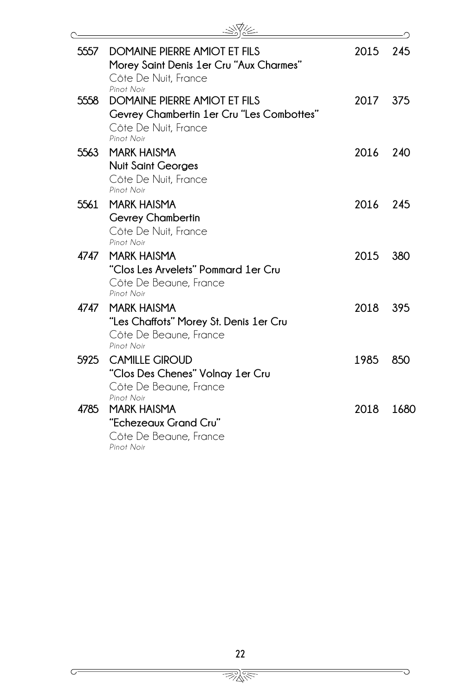| 5557 | DOMAINE PIERRE AMIOT ET FILS<br>Morey Saint Denis 1er Cru "Aux Charmes"<br>Côte De Nuit, France<br>Pinot Noir   | 2015 | 245  |
|------|-----------------------------------------------------------------------------------------------------------------|------|------|
| 5558 | DOMAINE PIERRE AMIOT ET FILS<br>Gevrey Chambertin 1er Cru "Les Combottes"<br>Côte De Nuit, France<br>Pinot Noir | 2017 | 375  |
| 5563 | <b>MARK HAISMA</b><br><b>Nuit Saint Georges</b><br>Côte De Nuit, France<br>Pinot Noir                           | 2016 | 240  |
| 5561 | <b>MARK HAISMA</b><br><b>Gevrey Chambertin</b><br>Côte De Nuit, France<br>Pinot Noir                            | 2016 | 245  |
| 4747 | <b>MARK HAISMA</b><br>"Clos Les Arvelets" Pommard 1er Cru<br>Côte De Beaune, France<br>Pinot Noir               | 2015 | 380  |
| 4747 | <b>MARK HAISMA</b><br>"Les Chaffots" Morey St. Denis 1er Cru<br>Côte De Beaune, France<br>Pinot Noir            | 2018 | 395  |
| 5925 | <b>CAMILLE GIROUD</b><br>"Clos Des Chenes" Volnay 1er Cru<br>Côte De Beaune, France<br>Pinot Noir               | 1985 | 850  |
| 4785 | <b>MARK HAISMA</b><br>"Echezeaux Grand Cru"<br>Côte De Beaune, France<br>Pinot Noir                             | 2018 | 1680 |

᠗

G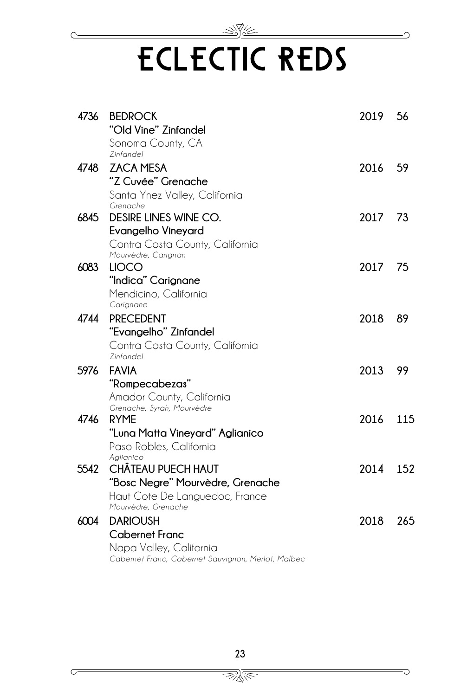## <u>- 474 -</u> ECLECTIC REDS

| 4736 | <b>BEDROCK</b>                                     | 2019    | 56  |
|------|----------------------------------------------------|---------|-----|
|      | "Old Vine" Zinfandel                               |         |     |
|      | Sonoma County, CA<br>7infandel                     |         |     |
| 4748 | <b>ZACA MESA</b>                                   | 2016    | 59  |
|      | "Z Cuvée" Grenache                                 |         |     |
|      | Santa Ynez Valley, California                      |         |     |
|      | Grenache                                           |         |     |
| 6845 | DESIRE LINES WINE CO.                              | 2017    | 73  |
|      | <b>Evangelho Vineyard</b>                          |         |     |
|      | Contra Costa County, California                    |         |     |
|      | Mourvèdre, Carignan                                |         |     |
| 6083 | <b>LIOCO</b>                                       | 2017 75 |     |
|      | "Indica" Carignane                                 |         |     |
|      | Mendicino, California                              |         |     |
|      | Carignane                                          |         |     |
| 4744 | <b>PRECEDENT</b>                                   | 2018    | 89  |
|      | "Evangelho" Zinfandel                              |         |     |
|      | Contra Costa County, California                    |         |     |
|      | Zinfandel                                          |         |     |
| 5976 | <b>FAVIA</b>                                       | 2013    | 99  |
|      | "Rompecabezas"                                     |         |     |
|      | Amador County, California                          |         |     |
| 4746 | Grenache, Syrah, Mourvèdre<br><b>RYME</b>          | 2016    | 115 |
|      |                                                    |         |     |
|      | "Luna Matta Vineyard" Aglianico                    |         |     |
|      | Paso Robles, California<br>Aglianico               |         |     |
| 5542 | CHÂTEAU PUECH HAUT                                 | 2014    | 152 |
|      | "Bosc Negre" Mourvèdre, Grenache                   |         |     |
|      | Haut Cote De Languedoc, France                     |         |     |
|      | Mourvèdre, Grenache                                |         |     |
| 6004 | <b>DARIOUSH</b>                                    | 2018    | 265 |
|      | <b>Cabernet Franc</b>                              |         |     |
|      | Napa Valley, California                            |         |     |
|      | Cabernet Franc, Cabernet Sauvignon, Merlot, Malbec |         |     |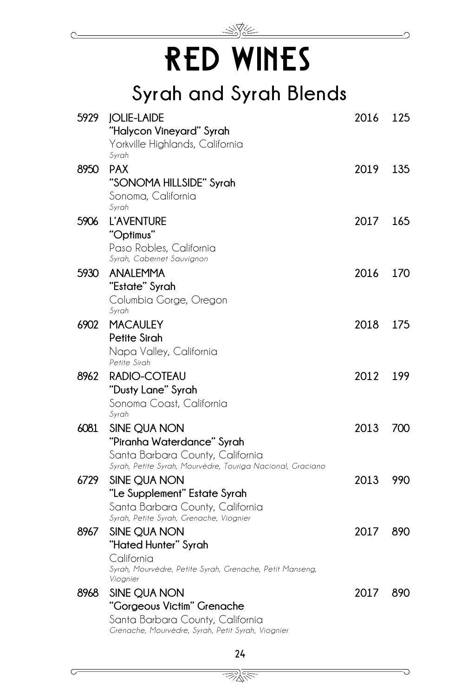

## **Syrah and Syrah Blends**

| 5929 | <b>JOLIE-LAIDE</b><br>"Halycon Vineyard" Syrah                                        | 2016     | 125 |
|------|---------------------------------------------------------------------------------------|----------|-----|
|      | Yorkville Highlands, California<br>Syrah                                              |          |     |
| 8950 | <b>PAX</b>                                                                            | 2019 135 |     |
|      | "SONOMA HILLSIDE" Syrah                                                               |          |     |
|      | Sonoma, California                                                                    |          |     |
|      | Syrah                                                                                 |          |     |
| 5906 | <b>L'AVENTURE</b>                                                                     | 2017     | 165 |
|      | "Optimus"                                                                             |          |     |
|      | Paso Robles, California                                                               |          |     |
|      | Syrah, Cabernet Sauvignon                                                             |          |     |
| 5930 | <b>ANALEMMA</b><br>"Estate" Syrah                                                     | 2016     | 170 |
|      | Columbia Gorge, Oregon                                                                |          |     |
|      | Syrah                                                                                 |          |     |
| 6902 | <b>MACAULEY</b>                                                                       | 2018     | 175 |
|      | <b>Petite Sirah</b>                                                                   |          |     |
|      | Napa Valley, California                                                               |          |     |
|      | Petite Sirah                                                                          |          |     |
| 8962 | RADIO-COTEAU                                                                          | 2012     | 199 |
|      | "Dusty Lane" Syrah                                                                    |          |     |
|      | Sonoma Coast, California                                                              |          |     |
|      | Syrah                                                                                 |          |     |
| 6081 | SINE QUA NON                                                                          | 2013     | 700 |
|      | "Piranha Waterdance" Syrah                                                            |          |     |
|      | Santa Barbara County, California                                                      |          |     |
|      | Syrah, Petite Syrah, Mourvèdre, Touriga Nacional, Graciano                            |          |     |
| 6729 | SINE QUA NON                                                                          | 2013     | 990 |
|      | "Le Supplement" Estate Syrah                                                          |          |     |
|      | Santa Barbara County, California<br>Syrah, Petite Syrah, Grenache, Viognier           |          |     |
| 8967 | SINE QUA NON                                                                          | 2017     | 890 |
|      | "Hated Hunter" Syrah                                                                  |          |     |
|      | California                                                                            |          |     |
|      | Syrah, Mourvèdre, Petite Syrah, Grenache, Petit Manseng,                              |          |     |
|      | Viognier                                                                              |          |     |
| 8968 | SINE QUA NON                                                                          | 2017     | 890 |
|      | "Gorgeous Victim" Grenache                                                            |          |     |
|      | Santa Barbara County, California<br>Grenache, Mourvèdre, Syrah, Petit Syrah, Viognier |          |     |
|      |                                                                                       |          |     |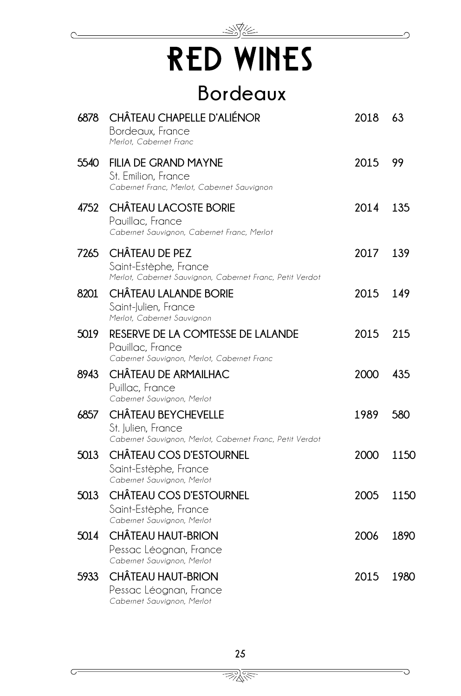

### **Bordeaux**

| 6878 | CHÂTEAU CHAPELLE D'ALIÉNOR<br>Bordeaux, France<br>Merlot, Cabernet Franc                              | 2018 | 63   |
|------|-------------------------------------------------------------------------------------------------------|------|------|
| 5540 | <b>FILIA DE GRAND MAYNE</b><br>St. Emilion, France<br>Cabernet Franc, Merlot, Cabernet Sauvignon      | 2015 | 99   |
| 4752 | <b>CHÂTEAU LACOSTE BORIE</b><br>Pauillac, France<br>Cabernet Sauvignon, Cabernet Franc, Merlot        | 2014 | 135  |
| 7265 | CHÂTEAU DE PEZ<br>Saint-Estèphe, France<br>Merlot, Cabernet Sauvignon, Cabernet Franc, Petit Verdot   | 2017 | 139  |
| 8201 | <b>CHÂTEAU LALANDE BORIE</b><br>Saint-Julien, France<br>Merlot, Cabernet Sauvignon                    | 2015 | 149  |
| 5019 | RESERVE DE LA COMTESSE DE LALANDE<br>Pauillac, France<br>Cabernet Sauvignon, Merlot, Cabernet Franc   | 2015 | 215  |
| 8943 | CHÂTEAU DE ARMAILHAC<br>Puillac, France<br>Cabernet Sauvignon, Merlot                                 | 2000 | 435  |
| 6857 | CHÂTEAU BEYCHEVELLE<br>St. Julien, France<br>Cabernet Sauvignon, Merlot, Cabernet Franc, Petit Verdot | 1989 | 580  |
| 5013 | <b>CHÂTEAU COS D'ESTOURNEL</b><br>Saint-Estèphe, France<br>Cabernet Sauvignon, Merlot                 | 2000 | 1150 |
| 5013 | <b>CHÂTEAU COS D'ESTOURNEL</b><br>Saint-Estèphe, France<br>Cabernet Sauvignon, Merlot                 | 2005 | 1150 |
| 5014 | <b>CHÂTEAU HAUT-BRION</b><br>Pessac Léognan, France<br>Cabernet Sauvignon, Merlot                     | 2006 | 1890 |
| 5933 | <b>CHÂTEAU HAUT-BRION</b><br>Pessac Léognan, France<br>Cabernet Sauvignon, Merlot                     | 2015 | 1980 |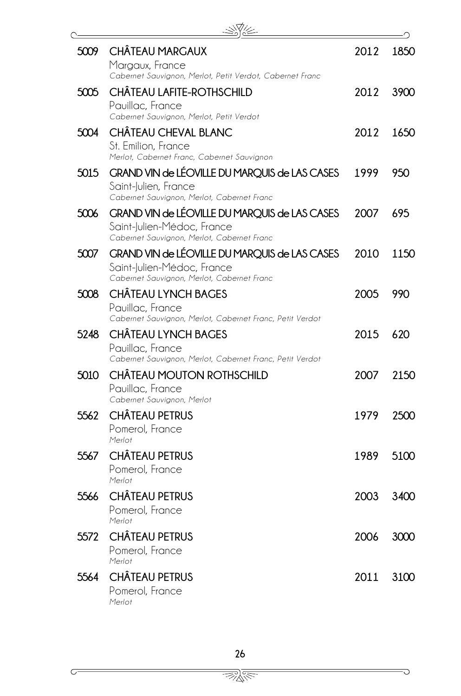| 5009 | <b>CHÂTEAU MARGAUX</b><br>Margaux, France<br>Cabernet Sauvignon, Merlot, Petit Verdot, Cabernet Franc                     | 2012 | 1850 |
|------|---------------------------------------------------------------------------------------------------------------------------|------|------|
| 5005 | CHÂTEAU LAFITE-ROTHSCHILD<br>Pauillac, France<br>Cabernet Sauvignon, Merlot, Petit Verdot                                 | 2012 | 3900 |
| 5004 | CHÂTEAU CHEVAL BLANC<br>St. Emilion, France<br>Merlot, Cabernet Franc, Cabernet Sauvignon                                 | 2012 | 1650 |
| 5015 | GRAND VIN de LÉOVILLE DU MARQUIS de LAS CASES<br>Saint-Julien, France<br>Cabernet Sauvignon, Merlot, Cabernet Franc       | 1999 | 950  |
| 5006 | GRAND VIN de LÉOVILLE DU MARQUIS de LAS CASES<br>Saint-Julien-Médoc, France<br>Cabernet Sauvignon, Merlot, Cabernet Franc | 2007 | 695  |
| 5007 | GRAND VIN de LÉOVILLE DU MARQUIS de LAS CASES<br>Saint-Julien-Médoc, France<br>Cabernet Sauvignon, Merlot, Cabernet Franc | 2010 | 1150 |
| 5008 | <b>CHÂTEAU LYNCH BAGES</b><br>Pauillac, France<br>Cabernet Sauvignon, Merlot, Cabernet Franc, Petit Verdot                | 2005 | 990  |
| 5248 | CHÂTEAU LYNCH BAGES<br>Pauillac, France<br>Cabernet Sauvignon, Merlot, Cabernet Franc, Petit Verdot                       | 2015 | 620  |
| 5010 | CHÂTEAU MOUTON ROTHSCHILD<br>Pauillac, France<br>Cabernet Sauvignon, Merlot                                               | 2007 | 2150 |
| 5562 | <b>CHÂTEAU PETRUS</b><br>Pomerol, France<br>Merlot                                                                        | 1979 | 2500 |
| 5567 | <b>CHÂTEAU PETRUS</b><br>Pomerol, France<br>Merlot                                                                        | 1989 | 5100 |
| 5566 | CHÂTEAU PETRUS<br>Pomerol, France<br>Merlot                                                                               | 2003 | 3400 |
| 5572 | <b>CHÂTEAU PETRUS</b><br>Pomerol, France<br>Merlot                                                                        | 2006 | 3000 |
| 5564 | <b>CHÂTEAU PETRUS</b><br>Pomerol, France<br>Merlot                                                                        | 2011 | 3100 |

 $\mathbb{R}$ 

᠗

G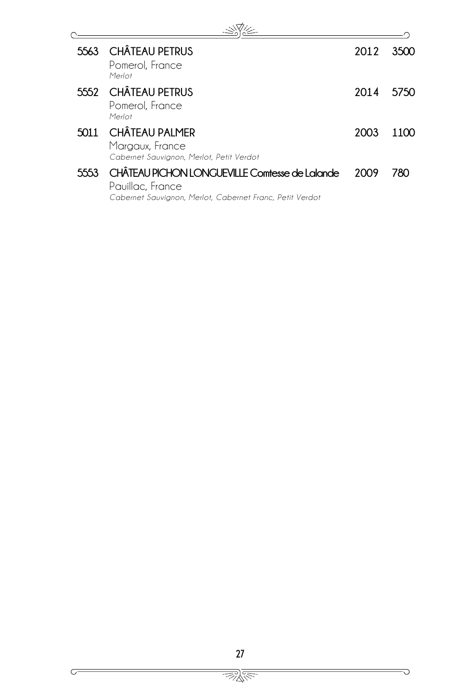| 5563 | CHÂTEAU PETRUS<br>Pomerol, France<br>Merlot                                                                                    | 2012 | 3500 |
|------|--------------------------------------------------------------------------------------------------------------------------------|------|------|
|      | 5552 CHÂTEAU PETRUS<br>Pomerol, France<br>Merlot                                                                               | 2014 | 5750 |
| 5011 | <b>CHÂTEAU PALMER</b><br>Margaux, France<br>Cabernet Sauvignon, Merlot, Petit Verdot                                           | 2003 | 1100 |
| 5553 | CHÂTEAU PICHON LONGUEVILLE Comtesse de Lalande<br>Pauillac, France<br>Cabernet Sauvignon, Merlot, Cabernet Franc, Petit Verdot | 2009 | 780  |

Ō

G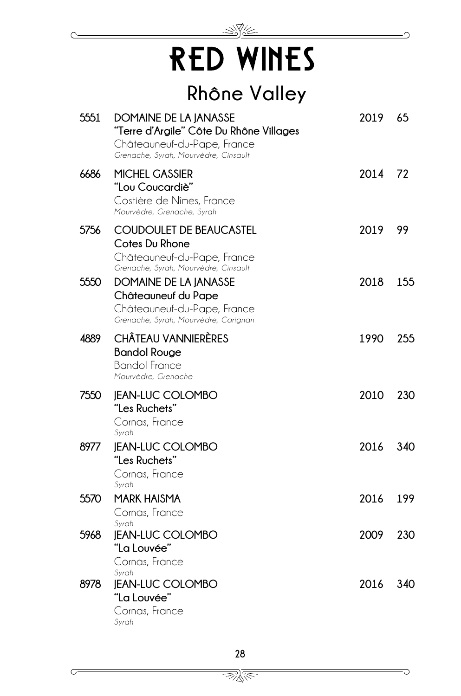## -SY RED WINES

## **Rhône Valley**

| 5551 | DOMAINE DE LA JANASSE<br>"Terre d'Argile" Côte Du Rhône Villages<br>Châteauneuf-du-Pape, France<br>Grenache, Syrah, Mourvèdre, Cinsault | 2019    | 65  |
|------|-----------------------------------------------------------------------------------------------------------------------------------------|---------|-----|
| 6686 | MICHEL GASSIER<br>"Lou Coucardiè"<br>Costière de Nîmes, France<br>Mourvèdre, Grenache, Syrah                                            | 2014 72 |     |
| 5756 | <b>COUDOULET DE BEAUCASTEL</b><br>Cotes Du Rhone<br>Châteauneuf-du-Pape, France<br>Grenache, Syrah, Mourvèdre, Cinsault                 | 2019    | 99  |
| 5550 | DOMAINE DE LA JANASSE<br>Châteauneuf du Pape<br>Châteauneuf-du-Pape, France<br>Grenache, Syrah, Mourvèdre, Carignan                     | 2018    | 155 |
| 4889 | <b>CHÂTEAU VANNIERÈRES</b><br><b>Bandol Rouge</b><br><b>Bandol France</b><br>Mourvèdre, Grenache                                        | 1990    | 255 |
| 7550 | <b>JEAN-LUC COLOMBO</b><br>"Les Ruchets"<br>Cornas, France<br>Syrah                                                                     | 2010    | 230 |
| 8977 | <b>JEAN-LUC COLOMBO</b><br>"Les Ruchets"<br>Cornas, France<br>Syrah                                                                     | 2016    | 340 |
| 5570 | <b>MARK HAISMA</b><br>Cornas, France                                                                                                    | 2016    | 199 |
| 5968 | Syrah<br><b>JEAN-LUC COLOMBO</b><br>"La Louvée"<br>Cornas, France<br>Syrah                                                              | 2009    | 230 |
| 8978 | <b>IEAN-LUC COLOMBO</b><br>"La Louvée"<br>Cornas, France<br>Syrah                                                                       | 2016    | 340 |

<u> BRA</u>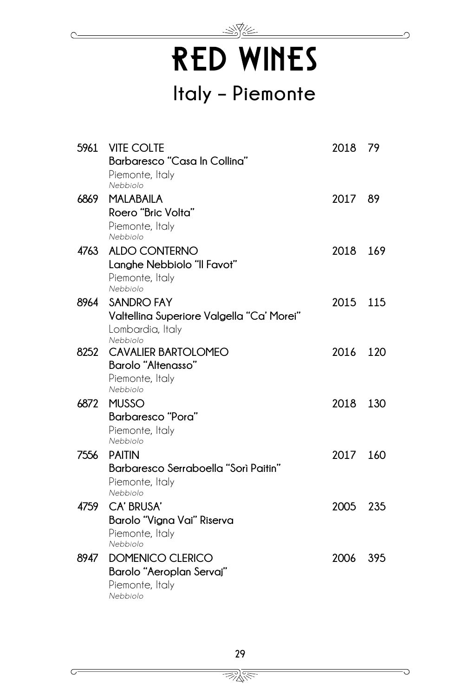RED WINES

 $\Rightarrow \nabla$ 

## **Italy – Piemonte**

|      | 5961 VITE COLTE                                                                                | 2018 79  |     |
|------|------------------------------------------------------------------------------------------------|----------|-----|
|      | Barbaresco "Casa In Collina"<br>Piemonte, Italy<br>Nebbiolo                                    |          |     |
| 6869 | <b>MALABAILA</b><br>Roero "Bric Volta"<br>Piemonte, Italy                                      | 2017     | 89  |
| 4763 | Nebbiolo<br>ALDO CONTERNO<br>Langhe Nebbiolo "Il Favot"<br>Piemonte, Italy<br>Nebbiolo         | 2018 169 |     |
| 8964 | <b>SANDRO FAY</b><br>Valtellina Superiore Valgella "Ca' Morei"<br>Lombardia, Italy<br>Nebbiolo | 2015 115 |     |
| 8252 | <b>CAVALIER BARTOLOMEO</b><br>Barolo "Altenasso"<br>Piemonte, Italy<br>Nebbiolo                | 2016 120 |     |
| 6872 | <b>MUSSO</b><br>Barbaresco "Pora"<br>Piemonte, Italy<br>Nebbiolo                               | 2018     | 130 |
| 7556 | <b>PAITIN</b><br>Barbaresco Serraboella "Sorì Paitin"<br>Piemonte, Italy<br>Nebbiolo           | 2017     | 160 |
| 4759 | CA' BRUSA'<br>Barolo "Vigna Vai" Riserva<br>Piemonte, Italy<br>Nebbiolo                        | 2005     | 235 |
| 8947 | <b>DOMENICO CLERICO</b><br>Barolo "Aeroplan Servaj"<br>Piemonte, Italy<br>Nebbiolo             | 2006     | 395 |

<u> BRA</u>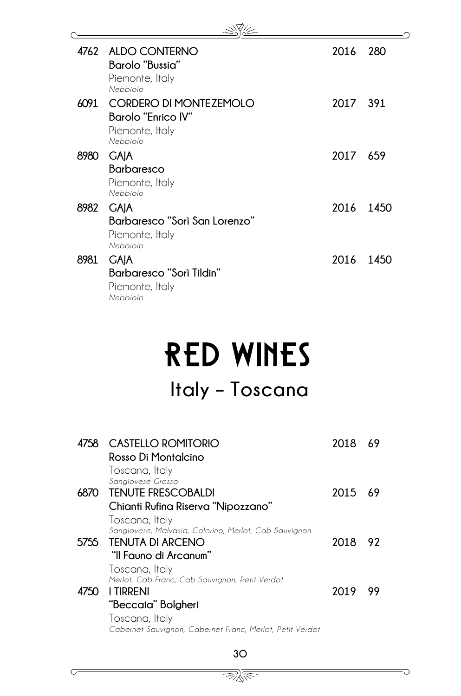| 4762 | ALDO CONTERNO<br>Barolo "Bussia"<br>Piemonte, Italy<br>Nebbiolo                           | 2016 | 280  |
|------|-------------------------------------------------------------------------------------------|------|------|
| 6091 | <b>CORDERO DI MONTEZEMOLO</b><br><b>Barolo "Enrico IV"</b><br>Piemonte, Italy<br>Nebbiolo | 2017 | -391 |
| 8980 | <b>GAJA</b><br><b>Barbaresco</b><br>Piemonte, Italy<br>Nebbiolo                           | 2017 | -659 |
| 8982 | <b>GAJA</b><br>Barbaresco "Sorì San Lorenzo"<br>Piemonte, Italy<br>Nebbiolo               | 2016 | 1450 |
| 8981 | <b>GAIA</b><br>Barbaresco "Sorì Tildin"<br>Piemonte, Italy<br>Nebbiolo                    | 2016 | 1450 |

## RED WINES **Italy – Toscana**

|      | 4758 CASTELLO ROMITORIO<br>Rosso Di Montalcino<br>Toscana, Italy                                                     | 2018 | 69  |
|------|----------------------------------------------------------------------------------------------------------------------|------|-----|
|      | Sangiovese Grosso<br>6870 TENUTE FRESCOBALDI<br>Chianti Rufina Riserva "Nipozzano"                                   | 2015 | -69 |
|      | Toscana, Italy<br>Sangiovese, Malvasia, Colorino, Merlot, Cab Sauvignon<br>5755 TENUTA DI ARCENO                     | 2018 | -92 |
|      | "Il Fauno di Arcanum"<br>Toscana, Italy<br>Merlot, Cab Franc, Cab Sauvignon, Petit Verdot                            |      |     |
| 4750 | <b>I TIRRENI</b><br>"Beccaia" Bolgheri<br>Toscana, Italy<br>Cabernet Sauvignon, Cabernet Franc, Merlot, Petit Verdot | 2019 | 99  |
|      |                                                                                                                      |      |     |

30

G

 $\subset$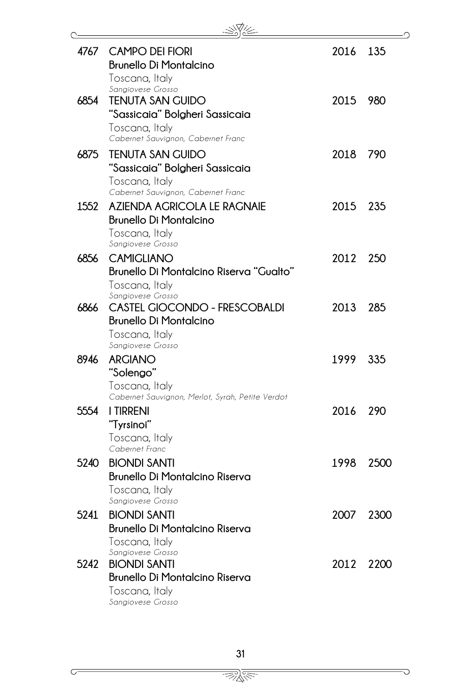| 4767 | <b>CAMPO DEI FIORI</b><br><b>Brunello Di Montalcino</b>                                                                             | 2016 | 135  |
|------|-------------------------------------------------------------------------------------------------------------------------------------|------|------|
| 6854 | Toscana, Italy<br>Sangiovese Grosso<br><b>TENUTA SAN GUIDO</b><br>"Sassicaia" Bolgheri Sassicaia                                    | 2015 | 980  |
| 6875 | Toscana, Italy<br>Cabernet Sauvignon, Cabernet Franc<br><b>TENUTA SAN GUIDO</b><br>"Sassicaia" Bolgheri Sassicaia<br>Toscana, Italy | 2018 | 790  |
| 1552 | Cabernet Sauvignon, Cabernet Franc<br>AZIENDA AGRICOLA LE RAGNAIE<br><b>Brunello Di Montalcino</b><br>Toscana, Italy                | 2015 | 235  |
| 6856 | Sangiovese Grosso<br><b>CAMIGLIANO</b><br>Brunello Di Montalcino Riserva "Gualto"                                                   | 2012 | 250  |
| 6866 | Toscana, Italy<br>Sangiovese Grosso<br>CASTEL GIOCONDO - FRESCOBALDI<br><b>Brunello Di Montalcino</b><br>Toscana, Italy             | 2013 | 285  |
| 8946 | Sangiovese Grosso<br><b>ARGIANO</b>                                                                                                 | 1999 | 335  |
| 5554 | "Solengo"<br>Toscana, Italy<br>Cabernet Sauvignon, Merlot, Syrah, Petite Verdot<br><b>I TIRRENI</b><br>"Tyrsinoi"<br>Toscana, Italy | 2016 | 290  |
| 5240 | Cabernet Franc<br><b>BIONDI SANTI</b><br><b>Brunello Di Montalcino Riserva</b><br>Toscana, Italy                                    | 1998 | 2500 |
| 5241 | Sangiovese Grosso<br><b>BIONDI SANTI</b><br><b>Brunello Di Montalcino Riserva</b>                                                   | 2007 | 2300 |
| 5242 | Toscana, Italy<br>Sangiovese Grosso<br><b>BIONDI SANTI</b><br><b>Brunello Di Montalcino Riserva</b><br>Toscana, Italy               | 2012 | 2200 |
|      | Sangiovese Grosso                                                                                                                   |      |      |

Ō

 $\overline{C}$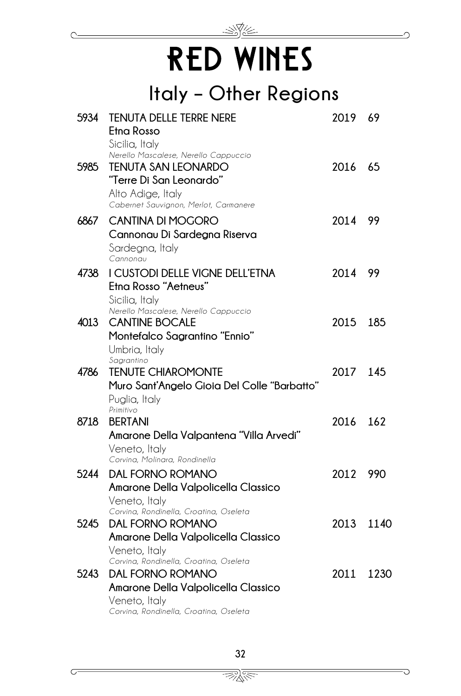## RED WINES

 $\gg$ 

### **Italy – Other Regions**

| 5934 | <b>TENUTA DELLE TERRE NERE</b><br>Etna Rosso                                                                                                                                  | 2019    | 69   |
|------|-------------------------------------------------------------------------------------------------------------------------------------------------------------------------------|---------|------|
| 5985 | Sicilia, Italy<br>Nerello Mascalese, Nerello Cappuccio<br><b>TENUTA SAN LEONARDO</b><br>"Terre Di San Leonardo"<br>Alto Adige, Italy<br>Cabernet Sauvignon, Merlot, Carmanere | 2016    | 65   |
| 6867 | <b>CANTINA DI MOGORO</b><br>Cannonau Di Sardegna Riserva<br>Sardegna, Italy<br>Cannonau                                                                                       | 2014 99 |      |
| 4738 | I CUSTODI DELLE VIGNE DELL'ETNA<br>Etna Rosso "Aetneus"<br>Sicilia, Italy                                                                                                     | 2014    | 99   |
| 4013 | Nerello Mascalese, Nerello Cappuccio<br><b>CANTINE BOCALE</b><br>Montefalco Sagrantino "Ennio"<br>Umbria, Italy                                                               | 2015    | 185  |
| 4786 | Sagrantino<br><b>TENUTE CHIAROMONTE</b><br>Muro Sant'Angelo Gioia Del Colle "Barbatto"<br>Puglia, Italy                                                                       | 2017    | 145  |
| 8718 | Primitivo<br><b>BERTANI</b><br>Amarone Della Valpantena "Villa Arvedi"<br>Veneto, Italy                                                                                       | 2016    | 162  |
| 5244 | Corvina, Molinara, Rondinella<br><b>DAL FORNO ROMANO</b><br>Amarone Della Valpolicella Classico<br>Veneto, Italy                                                              | 2012    | 990  |
| 5245 | Corvina, Rondinella, Croatina, Oseleta<br><b>DAL FORNO ROMANO</b><br>Amarone Della Valpolicella Classico<br>Veneto, Italy                                                     | 2013    | 1140 |
| 5243 | Corvina, Rondinella, Croatina, Oseleta<br><b>DAL FORNO ROMANO</b><br>Amarone Della Valpolicella Classico                                                                      | 2011    | 1230 |
|      | Veneto, Italy<br>Corvina, Rondinella, Croatina, Oseleta                                                                                                                       |         |      |

<u> BRA</u>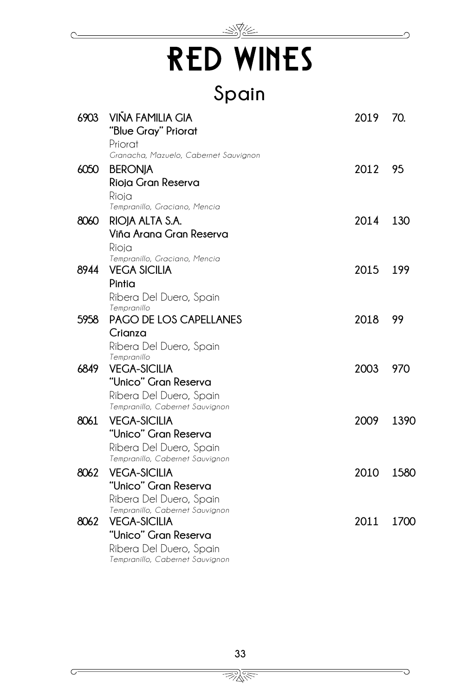## <u>- SYA</u> RED WINES

**Spain**

| 6903 | <b>VIÑA FAMILIA GIA</b>                                | 2019 | 70.  |
|------|--------------------------------------------------------|------|------|
|      | "Blue Gray" Priorat                                    |      |      |
|      | Priorat<br>Granacha, Mazuelo, Cabernet Sauvignon       |      |      |
|      |                                                        |      |      |
| 6050 | <b>BERONJA</b>                                         | 2012 | 95   |
|      | Rioja Gran Reserva                                     |      |      |
|      | Rioja<br>Tempranillo, Graciano, Mencia                 |      |      |
| 8060 | RIOJA ALTA S.A.                                        | 2014 | 130  |
|      | Viña Arana Gran Reserva                                |      |      |
|      | Rioja                                                  |      |      |
|      | Tempranillo, Graciano, Mencia                          |      |      |
| 8944 | <b>VEGA SICILIA</b>                                    | 2015 | 199  |
|      | Pintia                                                 |      |      |
|      | Ribera Del Duero, Spain                                |      |      |
|      | Tempranillo                                            |      |      |
| 5958 | PAGO DE LOS CAPELLANES                                 | 2018 | 99   |
|      | Crianza                                                |      |      |
|      | Ribera Del Duero, Spain<br>Tempranillo                 |      |      |
| 6849 | <b>VEGA-SICILIA</b>                                    | 2003 | 970  |
|      | "Unico" Gran Reserva                                   |      |      |
|      | Ribera Del Duero, Spain                                |      |      |
|      | Tempranillo, Cabernet Sauvignon                        |      |      |
| 8061 | <b>VEGA-SICILIA</b>                                    | 2009 | 1390 |
|      | "Unico" Gran Reserva                                   |      |      |
|      | Ribera Del Duero, Spain                                |      |      |
|      | Tempranillo, Cabernet Sauvignon                        |      |      |
| 8062 | <b>VEGA-SICILIA</b>                                    | 2010 | 1580 |
|      | "Unico" Gran Reserva                                   |      |      |
|      | Ribera Del Duero, Spain                                |      |      |
| 8062 | Tempranillo, Cabernet Sauvignon<br><b>VEGA-SICILIA</b> | 2011 | 1700 |
|      | "Unico" Gran Reserva                                   |      |      |
|      | Ribera Del Duero, Spain                                |      |      |
|      | Tempranillo, Cabernet Sauvignon                        |      |      |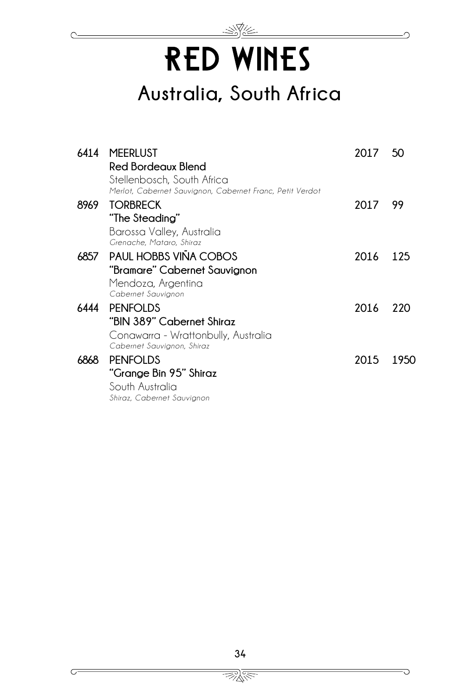## RED WINES **Australia, South Africa**

|      | 6414 MEERLUST                                            | 2017 | - 50 |
|------|----------------------------------------------------------|------|------|
|      | <b>Red Bordeaux Blend</b>                                |      |      |
|      | Stellenbosch, South Africa                               |      |      |
|      | Merlot, Cabernet Sauvignon, Cabernet Franc, Petit Verdot |      |      |
| 8969 | <b>TORBRECK</b>                                          | 2017 | 99   |
|      | "The Steading"                                           |      |      |
|      | Barossa Valley, Australia                                |      |      |
|      | Grenache, Mataro, Shiraz                                 |      |      |
|      | 6857 PAUL HOBBS VIÑA COBOS                               | 2016 | 125  |
|      | "Bramare" Cabernet Sauvignon                             |      |      |
|      | Mendoza, Argentina                                       |      |      |
|      | Cabernet Sauvignon                                       |      |      |
| 6444 | <b>PENFOLDS</b>                                          | 2016 | 220  |
|      | "BIN 389" Cabernet Shiraz                                |      |      |
|      | Conawarra - Wrattonbully, Australia                      |      |      |
|      | Cabernet Sauvignon, Shiraz                               |      |      |
| 6868 | <b>PENFOLDS</b>                                          | 2015 | 1950 |
|      | "Grange Bin 95" Shiraz                                   |      |      |
|      | South Australia                                          |      |      |
|      | Shiraz, Cabernet Sauvignon                               |      |      |

<u>We</u>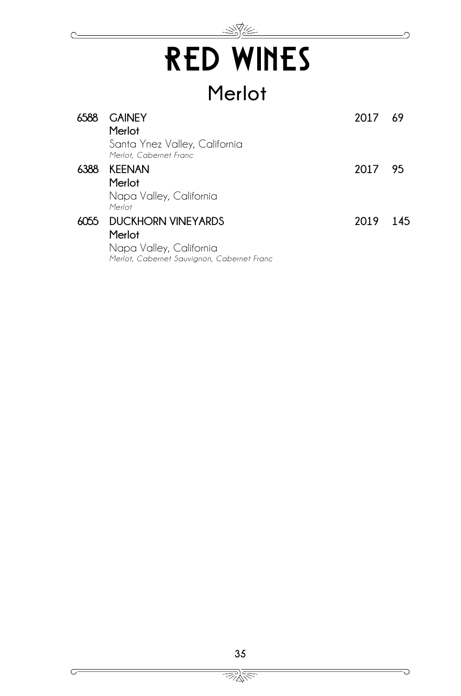## <u>- SYC</u> RED WINES

## **Merlot**

| 6588 | <b>GAINEY</b><br>Merlot                                               | 2017 | 69  |
|------|-----------------------------------------------------------------------|------|-----|
|      | Santa Ynez Valley, California<br>Merlot, Cabernet Franc               |      |     |
| 6388 | <b>KEENAN</b>                                                         | 2017 | 95  |
|      | Merlot                                                                |      |     |
|      | Napa Valley, California<br>Merlot                                     |      |     |
| 6055 | <b>DUCKHORN VINEYARDS</b>                                             | 2019 | 145 |
|      | Merlot                                                                |      |     |
|      | Napa Valley, California<br>Merlot, Cabernet Sauvignon, Cabernet Franc |      |     |

 $\overline{\mathbb{R}}$   $\overline{\mathbb{R}}$ 

C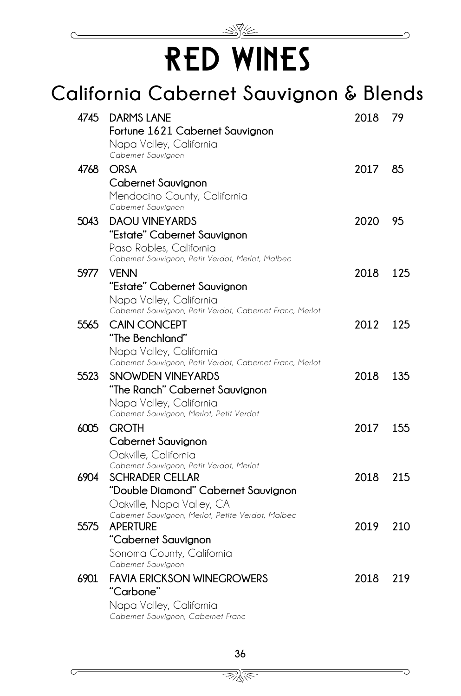

## RED WINES

#### **California Cabernet Sauvignon & Blends 4745 DARMS LANE Fortune 1621 Cabernet Sauvignon** Napa Valley, California *Cabernet Sauvignon* **2018 79 4768 ORSA Cabernet Sauvignon** Mendocino County, California *Cabernet Sauvignon* **2017 85 5043 DAOU VINEYARDS "Estate" Cabernet Sauvignon** Paso Robles, California *Cabernet Sauvignon, Petit Verdot, Merlot, Malbec*  **2020 95 5977 VENN "Estate" Cabernet Sauvignon** Napa Valley, California *Cabernet Sauvignon, Petit Verdot, Cabernet Franc, Merlot* **2018 125 5565 CAIN CONCEPT "The Benchland"** Napa Valley, California *Cabernet Sauvignon, Petit Verdot, Cabernet Franc, Merlot* **2012 125 5523 SNOWDEN VINEYARDS "The Ranch" Cabernet Sauvignon** Napa Valley, California *Cabernet Sauvignon, Merlot, Petit Verdot* **2018 135 6005 GROTH Cabernet Sauvignon** Oakville, California *Cabernet Sauvignon, Petit Verdot, Merlot*  **2017 155 6904 SCHRADER CELLAR "Double Diamond" Cabernet Sauvignon** Oakville, Napa Valley, CA *Cabernet Sauvignon, Merlot, Petite Verdot, Malbec* **2018 215 5575 APERTURE "Cabernet Sauvignon** Sonoma County, California *Cabernet Sauvignon* **2019 210 6901 FAVIA ERICKSON WINEGROWERS "Carbone"**  Napa Valley, California *Cabernet Sauvignon, Cabernet Franc* **2018 219**

 $\mathbb{Z}_{\mathbb{X}}^{\mathbb{X}}$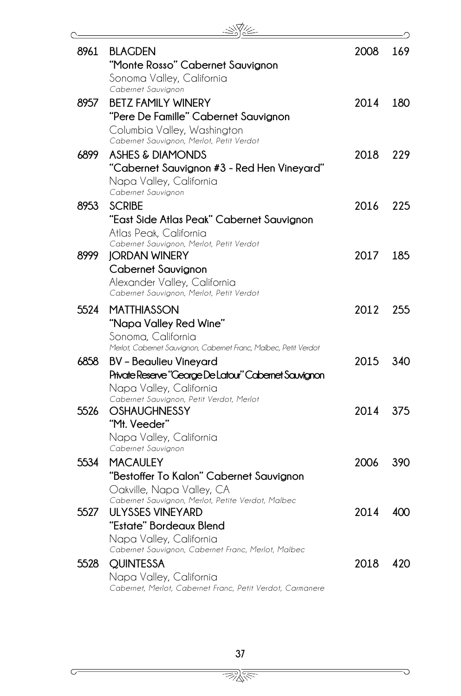| 8961 | <b>BLAGDEN</b>                                                                       | 2008 | 169 |
|------|--------------------------------------------------------------------------------------|------|-----|
|      | "Monte Rosso" Cabernet Sauvignon                                                     |      |     |
|      | Sonoma Valley, California<br>Cabernet Sauvignon                                      |      |     |
| 8957 | <b>BETZ FAMILY WINERY</b>                                                            | 2014 | 180 |
|      | "Pere De Famille" Cabernet Sauvignon                                                 |      |     |
|      | Columbia Valley, Washington                                                          |      |     |
|      | Cabernet Sauvignon, Merlot, Petit Verdot                                             |      |     |
| 6899 | ASHES & DIAMONDS                                                                     | 2018 | 229 |
|      | "Cabernet Sauvignon #3 - Red Hen Vineyard"                                           |      |     |
|      | Napa Valley, California<br>Cabernet Sauvignon                                        |      |     |
| 8953 | <b>SCRIBE</b>                                                                        | 2016 | 225 |
|      | "East Side Atlas Peak" Cabernet Sauvignon                                            |      |     |
|      | Atlas Peak, California                                                               |      |     |
|      | Cabernet Sauvignon, Merlot, Petit Verdot                                             |      |     |
| 8999 | <b>JORDAN WINERY</b>                                                                 | 2017 | 185 |
|      | Cabernet Sauvignon                                                                   |      |     |
|      | Alexander Valley, California<br>Cabernet Sauvignon, Merlot, Petit Verdot             |      |     |
| 5524 | <b>MATTHIASSON</b>                                                                   | 2012 | 255 |
|      | "Napa Valley Red Wine"                                                               |      |     |
|      | Sonoma, California                                                                   |      |     |
|      | Merlot, Cabernet Sauvignon, Cabernet Franc, Malbec, Petit Verdot                     |      |     |
| 6858 | <b>BV</b> - Beaulieu Vineyard                                                        | 2015 | 340 |
|      | Private Reserve "George De Latour" Cabernet Sauvignon                                |      |     |
|      | Napa Valley, California<br>Cabernet Sauvignon, Petit Verdot, Merlot                  |      |     |
| 5526 | <b>OSHAUGHNESSY</b>                                                                  | 2014 | 375 |
|      | "Mt. Veeder"                                                                         |      |     |
|      | Napa Valley, California                                                              |      |     |
|      | Cabernet Sauvignon                                                                   |      |     |
| 5534 | <b>MACAULEY</b>                                                                      | 2006 | 390 |
|      | "Bestoffer To Kalon" Cabernet Sauvignon                                              |      |     |
|      | Oakville, Napa Valley, CA<br>Cabernet Sauvignon, Merlot, Petite Verdot, Malbec       |      |     |
| 5527 | ULYSSES VINEYARD                                                                     | 2014 | 400 |
|      | "Estate" Bordeaux Blend                                                              |      |     |
|      | Napa Valley, California                                                              |      |     |
|      | Cabernet Sauvignon, Cabernet Franc, Merlot, Malbec                                   |      |     |
| 5528 | <b>QUINTESSA</b>                                                                     | 2018 | 420 |
|      | Napa Valley, California<br>Cabernet, Merlot, Cabernet Franc, Petit Verdot, Carmanere |      |     |
|      |                                                                                      |      |     |

 $\overline{\bigcirc}$ 

 $\subset$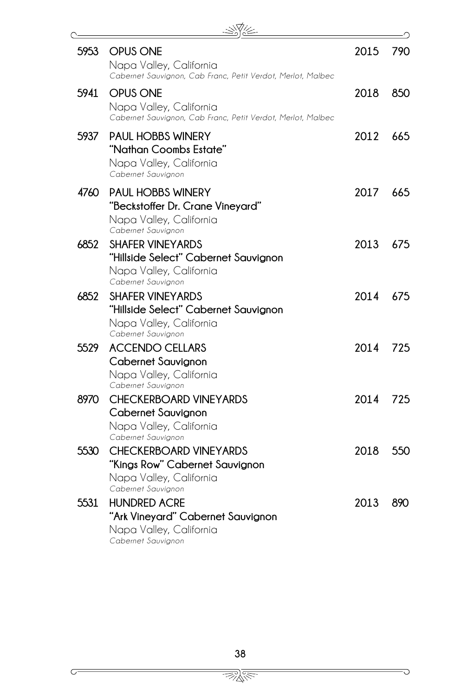| 5953 | <b>OPUS ONE</b><br>Napa Valley, California<br>Cabernet Sauvignon, Cab Franc, Petit Verdot, Merlot, Malbec        | 2015 | 790 |
|------|------------------------------------------------------------------------------------------------------------------|------|-----|
| 5941 | <b>OPUS ONE</b><br>Napa Valley, California<br>Cabernet Sauvignon, Cab Franc, Petit Verdot, Merlot, Malbec        | 2018 | 850 |
| 5937 | <b>PAUL HOBBS WINERY</b><br>"Nathan Coombs Estate"<br>Napa Valley, California<br>Cabernet Sauvignon              | 2012 | 665 |
| 4760 | <b>PAUL HOBBS WINERY</b><br>"Beckstoffer Dr. Crane Vineyard"<br>Napa Valley, California<br>Cabernet Sauvignon    | 2017 | 665 |
| 6852 | <b>SHAFER VINEYARDS</b><br>"Hillside Select" Cabernet Sauvignon<br>Napa Valley, California<br>Cabernet Sauvignon | 2013 | 675 |
| 6852 | <b>SHAFER VINEYARDS</b><br>"Hillside Select" Cabernet Sauvignon<br>Napa Valley, California<br>Cabernet Sauvignon | 2014 | 675 |
| 5529 | ACCENDO CELLARS<br>Cabernet Sauvignon<br>Napa Valley, California<br>Cabernet Sauvignon                           | 2014 | 725 |
| 8970 | <b>CHECKERBOARD VINEYARDS</b><br>Cabernet Sauvignon<br>Napa Valley, California<br>Cabernet Sauvignon             | 2014 | 725 |
| 5530 | <b>CHECKERBOARD VINEYARDS</b><br>"Kings Row" Cabernet Sauvignon<br>Napa Valley, California<br>Cabernet Sauvignon | 2018 | 550 |
| 5531 | <b>HUNDRED ACRE</b><br>"Ark Vineyard" Cabernet Sauvignon<br>Napa Valley, California<br>Cabernet Sauvignon        | 2013 | 890 |

 $\overline{\bigcirc}$ 

 $\overline{C}$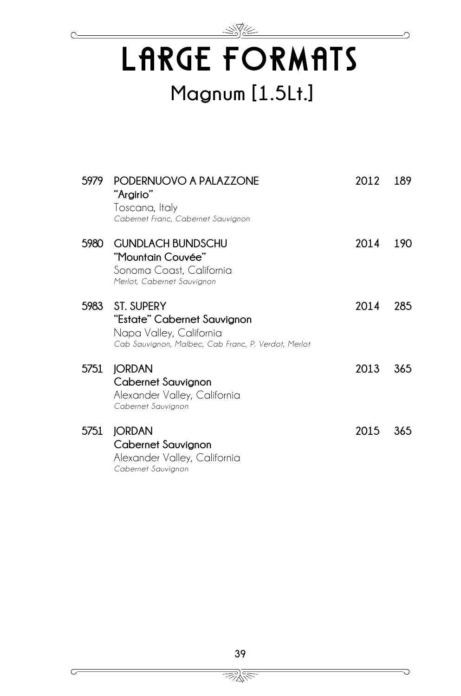## LARGE FORMATS **Magnum [1.5Lt.]**

#### **5979 PODERNUOVO A PALAZZONE "Argirio"** Toscana, Italy *Cabernet Franc, Cabernet Sauvignon* **2012 189 5980 GUNDLACH BUNDSCHU "Mountain Couvée"** Sonoma Coast, California *Merlot, Cabernet Sauvignon* **2014 190 5983 ST. SUPERY "Estate" Cabernet Sauvignon** Napa Valley, California *Cab Sauvignon, Malbec, Cab Franc, P. Verdot, Merlot* **2014 285 5751 JORDAN Cabernet Sauvignon** Alexander Valley, California *Cabernet Sauvignon* **2013 365 5751 JORDAN Cabernet Sauvignon** Alexander Valley, California *Cabernet Sauvignon* **2015 365**

 $\mathbb{Z}_{\mathbb{X}}^{\mathbb{X}}$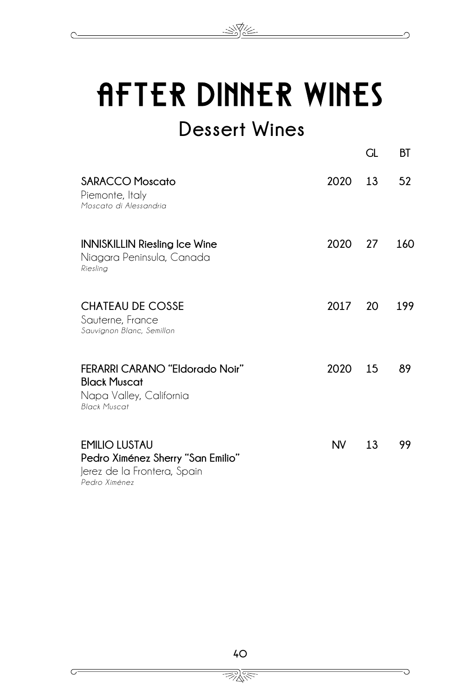

N.V.

### **Dessert Wines**

|                                                                                                                |      | GL | ВT  |
|----------------------------------------------------------------------------------------------------------------|------|----|-----|
| <b>SARACCO Moscato</b><br>Piemonte, Italy<br>Moscato di Alessandria                                            | 2020 | 13 | 52  |
| <b>INNISKILLIN Riesling Ice Wine</b><br>Niagara Peninsula, Canada<br>Riesling                                  | 2020 | 27 | 160 |
| <b>CHATEAU DE COSSE</b><br>Sauterne, France<br>Sauvignon Blanc, Semillon                                       | 2017 | 20 | 199 |
| <b>FERARRI CARANO "Eldorado Noir"</b><br><b>Black Muscat</b><br>Napa Valley, California<br><b>Black Muscat</b> | 2020 | 15 | 89  |
| <b>EMILIO LUSTAU</b><br>Pedro Ximénez Sherry "San Emilio"<br>Jerez de la Frontera, Spain<br>Pedro Ximénez      | NV.  | 13 | 99  |



 $\subset$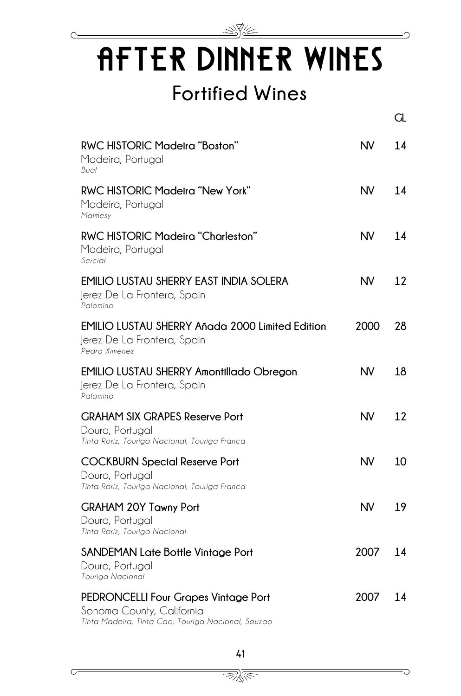

∩

 $\overline{C}$ 

## AFTER DINNER WINES **Fortified Wines**

|                                                                                                                                |           | GL |
|--------------------------------------------------------------------------------------------------------------------------------|-----------|----|
| <b>RWC HISTORIC Madeira "Boston"</b><br>Madeira, Portugal<br>Bual                                                              | <b>NV</b> | 14 |
| <b>RWC HISTORIC Madeira "New York"</b><br>Madeira, Portugal<br>Malmesy                                                         | <b>NV</b> | 14 |
| RWC HISTORIC Madeira "Charleston"<br>Madeira, Portugal<br>Sercial                                                              | <b>NV</b> | 14 |
| <b>EMILIO LUSTAU SHERRY EAST INDIA SOLERA</b><br>Jerez De La Frontera, Spain<br>Palomino                                       | <b>NV</b> | 12 |
| <b>EMILIO LUSTAU SHERRY Añada 2000 Limited Edition</b><br>Jerez De La Frontera, Spain<br>Pedro Ximenez                         | 2000      | 28 |
| <b>EMILIO LUSTAU SHERRY Amontillado Obregon</b><br>Jerez De La Frontera, Spain<br>Palomino                                     | <b>NV</b> | 18 |
| <b>GRAHAM SIX GRAPES Reserve Port</b><br>Douro, Portugal<br>Tinta Roriz, Touriga Nacional, Touriga Franca                      | <b>NV</b> | 12 |
| <b>COCKBURN Special Reserve Port</b><br>Douro, Portugal<br>Tinta Roriz, Touriga Nacional, Touriga Franca                       | <b>NV</b> | 10 |
| <b>GRAHAM 20Y Tawny Port</b><br>Douro, Portuaal<br>Tinta Roriz, Touriga Nacional                                               | <b>NV</b> | 19 |
| <b>SANDEMAN Late Bottle Vintage Port</b><br>Douro, Portugal<br>Touriga Nacional                                                | 2007      | 14 |
| <b>PEDRONCELLI Four Grapes Vintage Port</b><br>Sonoma County, California<br>Tinta Madeira, Tinta Cao, Touriga Nacional, Souzao | 2007      | 14 |

 $\Rightarrow \gg$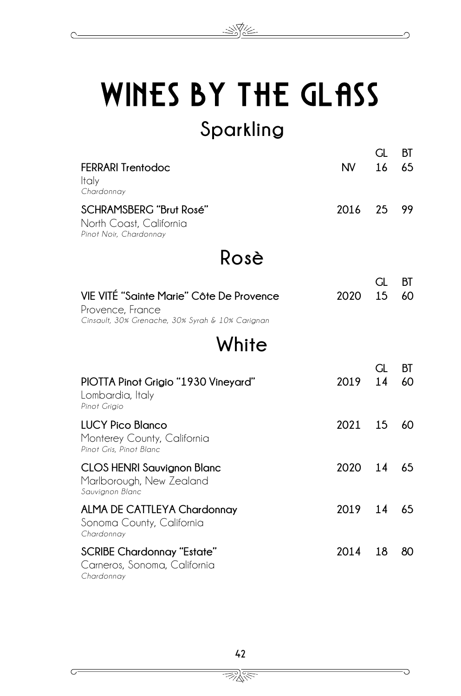

#### **Rosè White GL BT FERRARI Trentodoc** Italy *Chardonnay* **NV 16 65 SCHRAMSBERG "Brut Rosé"** North Coast, California *Pinot Noir, Chardonnay* **2016 25 99 GL BT VIE VITÉ "Sainte Marie" Côte De Provence** Provence, France *Cinsault, 30% Grenache, 30% Syrah & 10% Carignan* **2020 15 60 GL BT PIOTTA Pinot Grigio "1930 Vineyard"** Lombardia, Italy *Pinot Grigio* **2019 14 60 LUCY Pico Blanco** Monterey County, California *Pinot Gris, Pinot Blanc* **2021 15 60 CLOS HENRI Sauvignon Blanc** Marlborough, New Zealand *Sauvignon Blanc* **2020 14 65 ALMA DE CATTLEYA Chardonnay** Sonoma County, California *Chardonnay* **2019 14 65 SCRIBE Chardonnay "Estate"** Carneros, Sonoma, California *Chardonnay* **2014 18 80**

<u>INS</u>